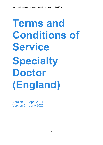# **Terms and Conditions of Service Specialty Doctor (England)**

Version 1 – April 2021 Version 2 – June 2022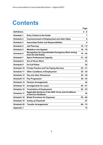# **Contents**

|                    |                                                                                    | Page      |
|--------------------|------------------------------------------------------------------------------------|-----------|
| <b>Definitions</b> |                                                                                    | $3 - 6$   |
| <b>Schedule 1</b>  | <b>Entry Criteria to the Grade</b>                                                 | 7         |
| <b>Schedule 2</b>  | <b>Commencement of Employment and other Dates</b>                                  | 8         |
| <b>Schedule 3</b>  | <b>Associated Duties and Responsibilities</b>                                      | 9         |
| <b>Schedule 4</b>  | <b>Job Planning</b>                                                                | $10 - 15$ |
| <b>Schedule 5</b>  | <b>Mediation and Appeals</b>                                                       | $16 - 18$ |
| <b>Schedule 6</b>  | <b>Recognition for Unpredictable Emergency Work arising</b><br>from On-Call Duties | $19 - 20$ |
| <b>Schedule 7</b>  | <b>Spare Professional Capacity</b>                                                 | $21 - 22$ |
| <b>Schedule 8</b>  | <b>Out of Hours Work</b>                                                           | 23        |
| <b>Schedule 9</b>  | <b>On-Call Rotas</b>                                                               | 24        |
| <b>Schedule 10</b> | <b>Private Practice and Fee Paying Services</b>                                    | $25 - 31$ |
| <b>Schedule 11</b> | <b>Other Conditions of Employment</b>                                              | $32 - 34$ |
| <b>Schedule 12</b> | <b>Pay and other Allowances</b>                                                    | $35 - 38$ |
| <b>Schedule 13</b> | <b>Pay Progression</b>                                                             | $39 - 43$ |
| Schedule 14        | <b>Pension Arrangements</b>                                                        | 44        |
| <b>Schedule 15</b> | <b>Arrangements for Leave</b>                                                      | $45 - 51$ |
| <b>Schedule 16</b> | <b>Termination of Employment</b>                                                   | $52 - 53$ |
| <b>Schedule 17</b> | <b>Applicable Sections of the NHS Terms and Conditions</b><br>of Service Handbook  | 54        |
| <b>Schedule 18</b> | <b>Model Provisions for Expenses</b>                                               | $55 - 66$ |
| <b>Schedule 19</b> | <b>Acting up Payments</b>                                                          | 67        |
| <b>Schedule 20</b> | Transfer Arrangements <sup>1</sup>                                                 | $68 - 72$ |
| <b>Appendix 1</b>  |                                                                                    | 73        |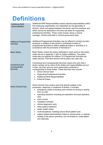# **Definitions**

| <b>Additional NHS</b><br>responsibilities           | Additional NHS Responsibilities means special responsibilities within<br>the employing organisation not undertaken by the generality of<br>doctors, which are agreed between the doctor and the employer and<br>which cannot be absorbed in the time set aside for supporting<br>professional activities. These could include, being a clinical<br>manager, clinical audit lead or clinical governance lead.                                                                                                                                                                                                                             |  |
|-----------------------------------------------------|------------------------------------------------------------------------------------------------------------------------------------------------------------------------------------------------------------------------------------------------------------------------------------------------------------------------------------------------------------------------------------------------------------------------------------------------------------------------------------------------------------------------------------------------------------------------------------------------------------------------------------------|--|
| <b>Additional Programmed</b><br><b>Activities</b>   | Additional Programmed Activities may be offered to doctors by their<br>employer in addition to the doctor's contracted number of<br>programmed activities to reflect additional duties or activities or in<br>accordance with the provisions of Schedule 4.                                                                                                                                                                                                                                                                                                                                                                              |  |
| <b>Basic Salary</b>                                 | Basic Salary means the salary attributed to each point on the salary<br>scale set out in appendix 1 with no further additions. The salary<br>scale sets out salaries for fulltime (10 Programmed Activities per<br>week) doctors. Part-time doctors will be paid a pro rata rate.                                                                                                                                                                                                                                                                                                                                                        |  |
| Contractual and<br>Consequential<br><b>Services</b> | Contractual and Consequential Services means the work that a<br>doctor carries out by virtue of the duties and responsibilities set out<br>in their Job Plan and any work reasonably incidental or<br>consequential to those duties. These services may include:<br><b>Direct Clinical Care</b><br>$\bullet$<br><b>Supporting Professional Activities</b><br><b>Additional NHS Responsibilities</b><br><b>External Duties.</b>                                                                                                                                                                                                           |  |
| <b>Direct Clinical Care</b>                         | Direct Clinical Care means work that directly relates to the<br>prevention, diagnosis or treatment of illness. It includes:<br>emergency duties (including work carried out during or arising<br>from on-call)<br>operating sessions including pre-operative and post-operative<br>care<br>ward rounds<br>outpatient activities<br>clinical diagnostic work<br>other patient treatment<br>public health duties<br>multi-disciplinary meetings about direct patient care<br>patient related administration linked to clinical work i.e. directly<br>related to the above (primarily, but not limited to, notes letters<br>and referrals). |  |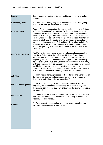| <b>Doctor</b>              | Doctor means a medical or dental practitioner except where stated<br>separately.                                                                                                                                                                                                                                                                                                                                                                                                                                                                                                                                                                          |
|----------------------------|-----------------------------------------------------------------------------------------------------------------------------------------------------------------------------------------------------------------------------------------------------------------------------------------------------------------------------------------------------------------------------------------------------------------------------------------------------------------------------------------------------------------------------------------------------------------------------------------------------------------------------------------------------------|
| <b>Emergency Work</b>      | See Predictable Emergency Work and Unpredictable Emergency<br>Work arising from on-call duties (Schedule 6).                                                                                                                                                                                                                                                                                                                                                                                                                                                                                                                                              |
| <b>External Duties</b>     | External Duties means duties that are not included in the definitions<br>of 'Direct Clinical Care', 'Supporting Professional Activities' and<br>'Additional NHS Responsibilities', and are not included within the<br>definition of Fee-Paying Services or Private Professional Services<br>but are undertaken as part of the prospectively agreed Job Plan by<br>agreement between the doctor and the employing organisation<br>without causing undue loss of clinical time. They might include, for<br>example, trade union duties, reasonable amount of work for the<br>Royal Colleges or government departments in the interests of the<br>wider NHS. |
| <b>Fee Paying Services</b> | Fee Paying Services means any paid professional services, other<br>than those falling within the definition of Private Professional<br>Services, which a doctor carries out for a third party or for the<br>employing organisation and which are not part of, nor reasonably<br>incidental to, Contractual and Consequential Services. A third party<br>for these purposes may be an organisation, corporation or individual,<br>provided that they are acting in a health related professional<br>capacity, or a provider or commissioner of public services. Examples<br>of work that fall within this category can be found in Schedule 11.            |
| <b>Job Plan</b>            | Job Plan means (for the purposes of these Terms and Conditions of<br>Service) a job plan agreed in accordance with the provisions of<br>Schedule 4 and, where relevant, Schedule 5.                                                                                                                                                                                                                                                                                                                                                                                                                                                                       |
| On-call Rota frequency     | On-call Rota frequency, for the purposes of Schedule 12, this<br>frequency is determined by ascertaining the number of days the<br>doctor is on-call over the 365 days of the year (for clarity, leap years<br>are ignored).                                                                                                                                                                                                                                                                                                                                                                                                                              |
| Out of hours               | Out of hours means any time that falls outside the period of 7am to<br>9pm Monday to Friday and any time on a Saturday or Sunday, or<br>statutory or public holiday.                                                                                                                                                                                                                                                                                                                                                                                                                                                                                      |
| Portfolio                  | Portfolio means the personal development record compiled by a<br>doctor during the course of their career.                                                                                                                                                                                                                                                                                                                                                                                                                                                                                                                                                |
|                            |                                                                                                                                                                                                                                                                                                                                                                                                                                                                                                                                                                                                                                                           |
|                            |                                                                                                                                                                                                                                                                                                                                                                                                                                                                                                                                                                                                                                                           |
|                            |                                                                                                                                                                                                                                                                                                                                                                                                                                                                                                                                                                                                                                                           |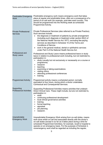| <b>Predictable Emergency</b><br><b>Work</b>    | Predictable emergency work means emergency work that takes<br>place at regular and predictable times, often as a consequence of a<br>period of on-call work (for example, post-take ward rounds). This<br>should be programmed into the Working week as scheduled<br>Programmed Activity.                                                                                                                                                                                                                                       |
|------------------------------------------------|---------------------------------------------------------------------------------------------------------------------------------------------------------------------------------------------------------------------------------------------------------------------------------------------------------------------------------------------------------------------------------------------------------------------------------------------------------------------------------------------------------------------------------|
| <b>Private Professional</b><br><b>Services</b> | Private Professional Services (also referred to as Private Practice).<br>Such services include:<br>the diagnosis or treatment of patients by private arrangement<br>$\bullet$<br>(including such diagnosis or treatment under section 65(2) of<br>the National Health Service Act 1977), excluding fee-paying<br>services as described in Schedule 10 of the Terms and<br><b>Conditions of Service.</b><br>work in the general medical, dental or ophthalmic services<br>٠<br>under Part II of the National Health Service Act. |
| <b>Professional and</b><br><b>Study Leave</b>  | Professional and Study Leave means professional leave or study<br>leave in relation to professional work including, but not restricted to,<br>participation in:<br>study (usually but not exclusively or necessarily on a course or<br>programme)<br>research<br>$\bullet$<br>teaching<br>$\bullet$<br>examining or taking examinations<br>$\bullet$<br>visiting clinics<br>$\bullet$<br>attending professional conferences<br>$\bullet$<br>training.<br>$\bullet$                                                              |
| <b>Programmed Activity</b>                     | Programmed activity means a scheduled period, normally<br>equivalent to four hours, during which a doctor undertakes<br>Contractual and Consequential Services.                                                                                                                                                                                                                                                                                                                                                                 |
| Supporting<br><b>Professional Activities</b>   | Supporting Professional Activities means activities that underpin<br>Direct Clinical Care. These might include, but are not restricted to,<br>participation in:<br>audit<br>continuing professional development<br>local clinical governance activities<br>$\bullet$<br>training<br>$\bullet$<br>formal teaching<br>$\bullet$<br>appraisal<br>$\bullet$<br>job planning<br>$\bullet$<br>research.                                                                                                                               |
| Unpredictable<br><b>Emergency Work</b>         | Unpredictable Emergency Work arising from on-call duties, means<br>work done whilst on-call and associated directly with the doctor's<br>on-call duties (except in so far as it takes place during a time for<br>scheduled Programmed Activities), for example, recall to hospital to<br>operate on an emergency basis. For the purposes of Schedule 4,<br>nonemergency work shall be regarded as including the regular,                                                                                                        |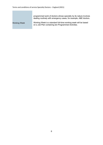programmed work of doctors whose specialty by its nature involves dealing routinely with emergency cases, for example, A&E doctors.

Working Week is a standard full-time working week will be based on a Job Plan containing ten Programmed Activities. Working Week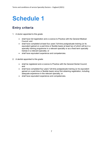### **Entry criteria**

- 1. A doctor appointed to this grade:
	- shall have full registration and a Licence to Practice with the General Medical Council; and
	- shall have completed at least four years' full-time postgraduate training (or its equivalent gained on a part-time or flexible basis) at least two of which will be in a specialty training programme in a relevant specialty or as a fixed term specialty trainee in a relevant specialty; or
	- shall have equivalent experience and competencies.
- 2. A dentist appointed to this grade:
	- shall be registered and a Licence to Practice with the General Dental Council; and
	- shall have completed four vears' full-time postgraduate training (or its equivalent gained on a part-time or flexible basis) since first obtaining registration, including adequate experience in the relevant specialty; or
	- shall have equivalent experience and competencies.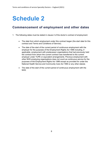### **Commencement of employment and other dates**

- 1. The following dates must be stated in clause 2 of the doctor's contract of employment:
	- The date from which employment under this contract began (the start date for this contract and Terms and Conditions of Service).
	- The date of the start of the current period of continuous employment with the employer for the purposes of the Employment Rights Act 1996 including, if applicable, employment with predecessor organisations that had previously held the contract from whom the current contract was transferred to the current employer under TUPE or equivalent arrangements. Previous employment with other NHS employing organisations does not count as continuous service for the purposes of the Employment Rights Act 1996 except as provided for under the National Health Service and Community Care Act 1990 or any other statute.
	- The date of the start of the current period of continuous employment with the NHS.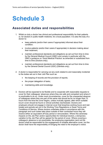### **Associated duties and responsibilities**

- 1. Whilst on duty a doctor has clinical and professional responsibility for their patients or, for doctors in public health medicine, for a local population. It is also the duty of a doctor to:
	- keep patients (and/or their carers if appropriate) informed about their condition;
	- involve patients (and/or their carers if appropriate) in decision making about their treatment;
	- maintain professional standards and obligations as set out from time to time by the General Medical Council (GMC) and comply in particular with the GMC's guidance on 'Good Medical Practice' as amended or substituted from time to time (Doctors only);
	- maintain professional standards and obligations as set out from time to time by the General Dental Council (GDC) (Dentists only).
- 2. A doctor is responsible for carrying out any work related to and reasonably incidental to the duties set out in their Job Plan such as:
	- the keeping of records and the provision of reports;
	- the proper delegation of tasks;
	- maintaining skills and knowledge.
- 3. Doctors will be expected to be flexible and to cooperate with reasonable requests to cover for their colleagues' absences where they are safe and competent and where it is practicable to do so. Under most circumstances, cover for the unexpected absence of colleagues where they are part of the same rota should be for no longer than 72 hours from the time the cover begins, unless mutually agreed, after which suitable locum cover should be found or clinical activities rescheduled. Doctors and employers should not engage in internal cover that breaches working hours and rest breaks and periods set out in the Working Time Regulations or these Terms and Conditions of Service. Where doctors undertake duties in accordance with this paragraph and such duties take place outside of their contracted hours they will receive either an equivalent off duty period or remuneration. Where this adversely impacts on the Job Plan and/or opportunities for individual doctors, a temporary variation to the Job Plan will be agreed for the period of cover. Where covering a colleague's absence is not practicable, the employing organisation (and not the doctor) shall be responsible for the engagement of suitable alternative cover, but the doctor shall have the responsibility of bringing the need to the employer's notice.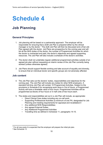### **Job Planning**

#### **General Principles**

- 1. Job planning will be based on a partnership approach. The employer will be responsible for ensuring that a draft Job Plan is prepared either by the clinical manager or by the doctor.<sup>1</sup> The draft Job Plan will then be discussed and a final Job Plan agreed with the doctor. Job Plans are prospective for the coming year and will list all the NHS duties of the doctor, the number of Programmed Activities for which the doctor is contracted and paid, the doctor's objectives and agreed supporting resources. The Job Plan will also include a schedule of the doctor's activities.
- 2. The doctor shall not undertake regular additional programmed activities outside of an agreed job plan without requesting an interim review of the Job Plan currently being worked (unless otherwise agreed).
- 3. Job Plans should support flexible working and take account of equality and diversity, to ensure that an individual doctor and specific groups are not adversely affected.

#### **Job content**

- 4. The Job Plan sets out the doctors' duties, responsibilities and objectives for the coming year. The Job Plan will include any duties for other NHS employers. A standard full-time Job Plan will contain 10 Programmed Activities. Subject to the provisions in Schedule 8 for recognising work done in Out of Hours, a Programmed Activity will have a timetable value of four hours. Programmed Activities will be programmed as blocks of four hours or in half units of two hours each.
- 5. The duties and responsibilities set out in a Job Plan will include, as appropriate:
	- Direct Clinical Care duties including any on-call work;
	- Supporting Professional Activities (a minimum of one PA, designated for Job Planning and meeting requirements for appraisal and revalidation)<sup>[2](#page-9-1)</sup>;
	- Any additional NHS Responsibilities;
	- Any agreed External Duties;
	- Any Additional Programmed Activities
	- Travelling time as defined in Schedule 11, paragraphs 14-15.

<span id="page-9-0"></span> $1$  For all new posts it is expected that the employer will prepare the initial job plan.

<span id="page-9-1"></span><sup>2</sup> See Schedule 13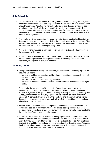#### **Job Schedule**

- 6. The Job Plan will include a schedule of Programmed Activities setting out how, when and where the doctor's duties and responsibilities will be delivered. It is expected that all the Programmed Activities will normally take place at a doctor's principal place of work but there will be flexibility to agree off site working where appropriate. The clinical manager will draw up the final schedule after full discussion with the doctor, taking into account the doctor's views on resources and priorities and making every effort to reach agreement.
- 7. The employer will be responsible for ensuring that a doctor has the facilities, training development and support needed to deliver the commitments in the agreed Job Plan and will make all reasonable endeavours to ensure that this support conforms with the standards set out in 'Improving Working Lives'.
- 8. Where a doctor is required to participate in an on-call rota, the Job Plan will set out the frequency of the rota.
- 9. Subject to agreement via the job planning process, doctors may be expected to take part in non-emergency work after 9pm and before 7am during weekdays or at weekends, or on public or statutory holidays.

#### **Working hours**

- 10. For Specialty Doctors working a full shift rota, unless otherwise mutually agreed, the following will apply:
	- a maximum of four consecutive nights, where at least three hours each night fall between 11pm and 6am;
	- a maximum of four consecutive long day shifts;<br>- a minimum period of 46 hours before and after t
	- a minimum period of 46 hours before and after transition between day and night shifts.
- 11. The majority (i.e. no less than 60 per cent) of work should normally take place in standard working hours being 7am to 9pm Monday to Friday, rather than in Out of Hours (OOH) which is 9:01pm to 6:59am Monday to Friday and all day Saturday and Sunday, unless otherwise mutually agreed. Where existing job plans contain in excess of 40 per cent of work in OOH, the employer and doctor will work towards decreasing the percentage each year until a limit of 40 per cent is reached, unless otherwise mutually agreed.
- 12. Elective Work (defined as patient care planned and timed to suit patients and the service and booked in advance whatever the clinical setting, such as outpatient clinics and pre-booked non-emergency surgery) should not normally be scheduled to finish later than 9pm, unless mutually agreed.
- 13. When a doctor is scheduled to work after a busy night on-call, it should be for the doctor to declare, with no detriment, that they are too tired to work. A doctor should notify that they are too tired to work as soon it is practicable to do so. Any displaced time/activity should be rescheduled to take place at another time in a doctor's agreed Job Plan, or, where possible, covered by colleagues, or, if necessary, cancelled. Such circumstances will not affect a doctor's earnings.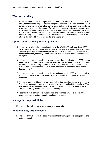#### **Weekend working**

14. A doctor's Job Plan will not require work for more than 13 weekends, in whole or in part, (defined for this purpose only as any period between 00.01 Saturday and 23.59 Sunday where work is undertaken during an on call or shift), per year, averaged over two years, unless mutually agreed. This will be the case except where existing rotas of a greater frequency already exist. Where higher frequency rotas already exist, they will be subject to annual review; unless mutually agreed, the shared intention would be for this frequency to be reduced to 13 weekends as a maximum by a date in the future to be agreed between the doctor and employer.

#### **Opting out of Working Time Regulations**

- 15. A doctor may voluntarily choose to opt out of the Working Time Regulations 1998 (WTR) as amended and replaced from time to time average weekly limit of 48 hours, subject to prior agreement in writing with the employer. A decision to exercise this option is individual, voluntary and no pressure may be placed on the doctor to take this option.
- 16. Under these terms and conditions, where a doctor has opted out of the WTR average weekly working hours, overall hours are restricted to a maximum average of 56 hours per week, across all or any organisations with whom the doctor is contracted to work or otherwise chooses to work. This must be calculated over the reference period defined in the WTR.
- 17. Under these terms and conditions, a doctor opting out of the WTR weekly hours limit is still bound by all of the other limits set out in the WTR and in these terms and conditions.
- 18. A doctor's agreement to opt out may apply either to a specified period or indefinitely. To end any such agreement, a doctor must give written notice to the employer. The notice period shall be seven days, or a period up to a maximum of three months specified in the agreement, whichever is the longer.
- 19. Records of such agreements must be kept and be made available to relevant recognised unions and appropriate regulators on request.

#### **Managerial responsibilities**

20. The Job Plan will set out any management responsibilities.

#### **Accountability arrangements**

21. The Job Plan will set out the doctor's accountability arrangements, both professional and managerial.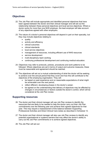#### **Objectives**

- 22. The Job Plan will include appropriate and identified personal objectives that have been agreed between the doctor and their clinical manager and will set out the relationship between these personal objectives and local service objectives. Where a doctor works for more than one NHS employer, the lead employer will take account of any objectives agreed with other employers.
- 23. The nature of a doctor's personal objectives will depend in part on their specialty, but they may include objectives relating to:
	- quality
	- activity and efficiency
	- clinical outcomes
	- clinical standards
	- local service objectives
	- management of resources, including efficient use of NHS resources
	- service development
	- multi-disciplinary team working
	- continuing professional development and continuing medical education.
- 24. Objectives may refer to protocols, policies, procedures and work patterns to be followed. Where objectives are set in terms of output and outcome measures, these must be reasonable and agreement should be reached.
- 25. The objectives will set out a mutual understanding of what the doctor will be seeking to achieve over the annual period that they cover and how this will contribute to the objectives of the employing organisation. They will:
	- be based on past experience and on reasonable expectations of what might be achievable over the next period;
	- reflect different, developing phases in the doctor's career;
	- be agreed on the understanding that delivery of objectives may be affected by changes in circumstances or factors outside the doctor's control, which will be considered at the Job Plan review.

#### **Supporting resources**

- 26. The doctor and their clinical manager will use Job Plan reviews to identify the resources that are likely to be needed to help the doctor carry out their Job Plan commitments over the following year and achieve their agreed objectives for that year. This may require a reassessment of the balance between Supporting Professional Activities and Direct Clinical Care duties as described in Schedule 13.
- 27. The doctor and their clinical manager will also use Job Plan reviews to identify any potential organisational or systems barriers that may affect the doctor's ability to carry out the Job Plan commitments or to achieve agreed objectives.
- 28. The Job Plan will set out: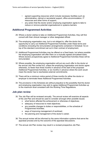- agreed supporting resources which include necessary facilities such as administrative, clerical or secretarial support, office accommodation, IT resources and other forms of support;
- any action that the doctor and/or employing organisation agree to take to reduce or remove potential organisational or systems barriers.

#### **Additional Programmed Activities**

- 29. Where a doctor wishes to take on Additional Programmed Activities, they will first consult with their clinical manager or other designated official.
- 30. The employing organisation may, but is not obliged to, offer the doctor the opportunity to carry out Additional Programmed Activities under these terms and conditions (including the remuneration arrangements contained in Schedule 12) on top of the standard commitment set out in their contract of employment;
- 31. Additional Programmed Activities may be offered on a fixed basis, but where possible the employing organisation will offer them on a mutually agreed annualised basis. Where doctors prospectively agree to Additional Programmed Activities these will be remunerated;
- 32. Where possible, the employing organisation will put any such offer to the doctor at the annual Job Plan review but, unless the employing organisation and doctor agree otherwise, no fewer than three months in advance of the start of the proposed Additional Programmed Activities, or six months in advance where the work would mean the doctor has to reschedule external commitments;
- 33. There will be a minimum notice period of three months for either the doctor or employer to terminate these Additional Programmed Activities.
- 34. The provisions in this Schedule are without prejudice to the possibility that the doctor and employing organisation may wish to agree Additional Programmed Activities up to the maximum level consistent with the Working Time Regulations.

#### **Job plan review**

- 35. The Job Plan will be reviewed annually. The annual review will examine all aspects of the Job Plan and should be used to consider amongst other possible issues:
	- what factors affected the achievement or otherwise of objectives:
	- adequacy of resources to meet objectives;
	- any possible changes to duties or responsibilities, or the schedule of Programmed Activities;
	- ways of improving management of workload;
	- the planning and management of the doctor's career.
- 36. The annual review will be informed by the same information systems that serve the appraisal process and by the outcome of the appraisal discussions.
- 37. The annual Job Plan review may result in a revised prospective Job Plan.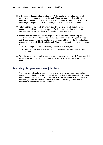- 38. In the case of doctors with more than one NHS employer, a lead employer will normally be designated to conduct the Job Plan review on behalf of all the doctor's employers. The lead employer will take full account of the views of other employers (including for the purposes of Schedule 6) and inform them of the outcome.
- 39. Following the annual Job Plan review, the clinical manager will document the outcome, copied to the doctor, setting out for the purpose of decisions on pay progression whether the criteria in Schedule 13 have been met.
- 40. If either party believes that duties, responsibilities, accountability arrangements or objectives have changed or need to change significantly within the year, the doctor and clinical manager shall conduct an interim review of the Job Plan In particular, in respect of the agreed objectives in the Job Plan, both the doctor and clinical manager will:
	- keep progress against those objectives under review; and
	- identify to each other any problems in meeting those objectives as they emerge.
- 40. Either the doctor or the clinical manager may propose an interim Job Plan review if it appears that the objectives may not be achieved for reasons outside the doctor's control.

#### **Resolving disagreements over job plans**

41. The doctor and clinical manager will make every effort to agree any appropriate changes to the Job Plan at the annual or interim review. If it is not possible to reach agreement on the Job Plan, the doctor may refer the Job Plan to mediation and, if necessary, appeal as set out in Schedule 5. Prior to reaching a resolution the provisions of Schedule 5 shall be effective.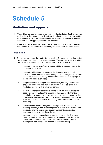### **Mediation and appeals**

- 1. Where it has not been possible to agree a Job Plan (including Job Plan reviews and interim reviews) or a doctor disputes a decision that they have not met the required criteria for a pay progression in respect of a given year, a mediation procedure and an appeal procedure are available.
- 2. Where a doctor is employed by more than one NHS organisation, mediation and appeals will be undertaken by the organisation where the issue arises.

#### **Mediation**

- 3. The doctor may refer the matter to the Medical Director, or to a designated other person (subject to local arrangements). The purpose of the referral will be to reach agreement if at all possible. The process will be that:
	- the doctor makes the referral in writing within 10 working days of the disagreement arising;
	- the doctor will set out the nature of the disagreement and their position or view on the matter including any supporting evidence; This should be provided in writing and normally within 15 working days of the referral being submitted;
	- the process should be open and transparent, and any submissions should be shared no less than five working days in advance of the mediation meeting with all involved parties;
	- the clinical manager responsible for the Job Plan review, or (as the case may be) for making the recommendation as to whether the criteria for pay progression have been met, will set out the employing organisation's position or view on the matter. This should be provided in writing and normally within 15 working days of the referral being received;
	- the Medical Director or designated other person will convene a meeting, normally within 20 working days of receipt of the referral, with the doctor and the responsible clinical manager to discuss the disagreement and to hear their views;
	- if agreement is not reached at this meeting, then within 10 working days the Medical Director or designated other person will decide the matter and shall notify the doctor and the responsible clinical manager of that decision or recommendation in writing;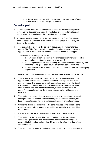• if the doctor is not satisfied with the outcome, they may lodge aformal appeal in accordance with paragraph 5 below.

#### **Formal appeal**

- 4. A formal appeal panel will be convened only where it has not been possible to resolve the disagreement using the mediation process. A formal appeal will be heard by a panel under the procedure set out below.
- 5. An appeal shall be lodged by the doctor in writing to the Chief Executive as soon as possible and in any event within 10 working days of receipt by the doctor of the decision.
- 6. The appeal should set out the points in dispute and the reasons for the appeal. The Chief Executive will, on receipt of a written appeal, convene an appeal panel to meet within six calendar weeks of receipt of the appeal.
- 7. The membership of the panel will be:
	- a chair, being a Non-executive Director/Independent Member, or other independent member (for example, a governor);
	- a second panel member nominated by the appellant doctor, preferably from within the same grade at an equivalent or more senior level; and
	- an Executive Director or a nominated deputy from the appellant's employing organisation.

No member of the panel should have previously been involved in the dispute.

- 8. The parties to the dispute will submit their written statements of case to the appeal panel and to the other party no less than 5 working days before the appeal hearing. The appeal panel will hear oral submissions on the day of the hearing. Following the provision of the written statements neither party shall introduce new (previously undisclosed) written information to the panel. A representative from the employing organisation will present its case first.
- 9. The doctor may present their own case in person, or be assisted by a work colleague or trade union or professional organisation representative, but legal representatives acting in a professional capacity are not permitted.
- 10. Where the doctor, the employer or the panel requires it, the appeals panel may hear expert advice on matters specific to a specialty or to the subject of the appeal.
- 11. It is expected that the appeal hearing will last no more than oneday.
- 12. The decision of the panel will be binding on both the doctor and the employing organisation. The decision shall be recorded in writing and provided to both parties no later than 15 working days from the date of the appealhearing.
- 13. The decision of the panel will be implemented in full as soon as is practicable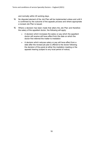and normally within 20 working days.

- 14. No disputed element of the Job Plan will be implemented unless and until it is confirmed by the outcome of the appeals process and where appropriate a revised Job Plan is issued.
- 15. Where a decision has been made that alters the Job Plan and therefore the salary of the appellant doctor, the following will apply:
	- A decision which increases the salary or pay which the appellant doctor will receive will have effect from the date on which the doctor first referred the matter to mediation
	- A decision which reduces salary or pay will have effect from a date after the revised job plan is offered to the doctor following the decision of the panel at either the mediation meeting or the appeals hearing (subject to any local period of notice).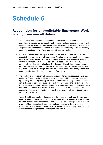### **Recognition for Unpredictable Emergency Work arising from on-call duties**

- 1. The expected average amount of time that a doctor is likely to spend on unpredictable emergency work each week whilst on-call and directly associated with on-call duties will be treated as counting towards the number of Direct Clinical Care Programmed Activities that the doctor is regarded as undertaking. This will normally be up to a maximum of two Programmed Activities per week.
- 2. Where the unpredictable emergency work arising from a doctor's on-call duties exceeds the equivalent of two Programmed Activities per week the clinical manager and the doctor will review the position. The employing organisation shall ensure additional arrangements to recognise work in excess of this limit, either by remuneration or time off, are in place. The doctor and the clinical manager should also consider whether some of the work is sufficiently regular and predictable to be programmed into the Working Week on a prospective basis. If no arrangements are made the default position is to trigger a Job Plan review.
- 3. The employing organisation will assess with the doctor on a prospective basis, the number of Programmed Activities that are to be regarded for these purposes, as representing the average weekly volume of unpredictable emergency work arising from a doctors on-call duties during a period of between one and eight weeks. This will be based on a periodic assessment of the average weekly amount of work over a prior reference period. The doctor will be the key player in the assessment by maintaining records of their activities. The clinical manager will agree the reference period with the doctor.
- 4. Tables 1 and 2 below set out illustrations of the relationship between the average weekly emergency work arising from on-call duties and the number of Programmed Activities that this work is regarded as representing. The general principle is that an average of four hours of such work per week, or – subject to the provisions in Schedule 8, an average of three hours of such work per week during Out of Hours – constitutes for these purposes one Programmed Activity.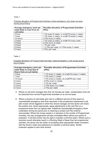#### Table 1

#### Possible allocation of Programmed Activities where emergency work does not arise during Out of Hours

| Average emergency work per<br>week likely to arise from on-<br>call duties | <b>Possible allocation of Programmed Activities</b><br>(PAs) |
|----------------------------------------------------------------------------|--------------------------------------------------------------|
| $\frac{1}{2}$ hour                                                         | 1 PA every 8 weeks, or a half-PA every 4 weeks               |
| 1 hour                                                                     | 1 PA every 4 weeks, or a half-PA every 2 weeks               |
| 1 <sup>1/2</sup> hours                                                     | 3 PAs every 8 weeks                                          |
| 2 hours                                                                    | 1 PA every 2 weeks, or a half-PA every week                  |
| 3 hours                                                                    | 3 PAs every 4 weeks                                          |
| 4 hours                                                                    | 1 PA per week                                                |
| 6 hours                                                                    | 1 1/2 PAs per week, or 3 PAs every 2 weeks                   |
| 8 hours                                                                    | 2 PAs per week                                               |

#### Table 2

Possible allocation of Programmed Activities where emergency work arises during Out of Hours

| Average emergency work per<br>week likely to arise Out of<br><b>Hours from on-call duties</b> | <b>Possible allocation of Programmed Activities</b><br>(PAs) |
|-----------------------------------------------------------------------------------------------|--------------------------------------------------------------|
| $\frac{1}{2}$ hour                                                                            | 1 PA every 6 weeks, or a half-PA every 3 weeks               |
| 1 hour                                                                                        | 1 PA every 3 weeks                                           |
| $1\frac{1}{2}$ hours                                                                          | 1 PA every 2 weeks, or a half-PA per week                    |
| 2 hours                                                                                       | 2 PAs every 3 weeks                                          |
| 3 hours                                                                                       | 1 PA per week                                                |
| 4 hours                                                                                       | 3 PAs every two weeks                                        |
| 6 hours                                                                                       | 2 PAs per week                                               |

- 5. Where on-call work averages less than 30 minutes per week, compensatory time will be deducted from normal Programmed Activities on an ad hoc basis.
- 6. Where a doctors on-call duties give rise to a different amount of time spent on unpredictable emergency work than assumed in this prospective assessment a job plan review will be triggered in which the clinical manager and the doctor will review the position and, where appropriate, agree adjustments to the Job Plan on a prospective basis from an agreed date. Additional Unpredictable Emergency Work undertaken during the period prior to reaching a revised Job Plan shall be remunerated. Where the review results in a reduction in the number of Programmed Activities, the new arrangements will take immediate effect without any period of protection. A full-time doctor has the right to maintain a full-time salary. Where such a reduction would otherwise result in a Working Week of fewer than ten programmed activities, the doctor has the option of accepting other appropriate duties consistent with the doctor's skills and experience to maintain a full-time salary. Similar protection applies to part–time doctors.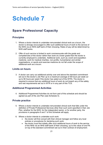### **Spare Professional Capacity**

#### **Principles**

- 1. Where a doctor intends to undertake remunerated clinical work as a locum, the doctor is strongly encouraged to offer such additional hours of work to the service of the NHS via an NHS staff bank of their choosing. Rates of pay will be determined by NHS staff banks.
- 2. Offer of such service is limited to work commensurate with the grade and competencies of the doctor rather than work at a lower grade than the doctor is currently employed to undertake. Additional work, such as; event and expedition medicine, work for medical charities, non-profits, humanitarian and similar organisations, or sports and exercise medicine do not fall under the scope of additional work as a locum.

#### **Limits on hours**

3. A doctor can carry out additional activity over and above the standard commitment set out in the doctor's Job Plan up to a maximum average of 48 hours per week (or up to 56 hours per week if the doctor has opted out of the WTR). The doctor is required to ensure that any additional hours of work do not breach any of the safety and rest requirements set out in WTR or in any part of this TCS.

#### **Additional Programmed Activities**

4. Additional Programmed Activities do not form part of this schedule and should be agreed as part of the Job Plan (see Schedule 4).

#### **Private practice**

- 5. Where a doctor intends to undertake remunerated clinical work that falls under the definition of Private Professional Services other than such work specified in their Job Plan, whether for the NHS, for the independent sector, or for another party, the provisions in paragraphs 6 and 7 of this Schedule will apply.
- 6. Where a doctor intends to undertake such work:
	- the doctor will first consult with their clinical manager and follow any local policies or procedures for declaring such work;
	- the doctor must first initially offer such additional hours of work to the service of the NHS via an NHS staff bank of their choosing, up to the value of one PA on top of the standard commitment set out in their contract of employment.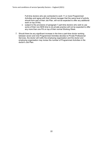Full-time doctors who are contracted to work 11 or more Programmed Activities and agree with their clinical manager that the same level of activity should form part of their Job Plan, will not be expected to offer any additional work on top of this;

- subject to the provisions of paragraph 7 part-time doctors who wish to use some of their non-NHS time to do private practice will not be expected to offer any more than one PA on top of their normal Working Week.
- 7. Should there be any significant increase in the time a part-time doctor working between seven and nine Programmed Activities devotes to Private Professional Services, the doctor will notify the employing organisation and the doctor and employing organisation may review the number of Programmed Activities in the doctor's Job Plan.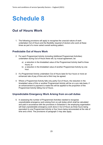### **Out of Hours Work**

1. The following provisions will apply to recognise the unsocial nature of work undertaken Out of Hours and the flexibility required of doctors who work at these times as part of a more varied overall working pattern.

#### **Predictable Out of Hours Work**

- 2. For each Programmed Activity (including Additional Programmed Activities) undertaken during Out of Hours there will, by mutual agreement, be:
	- a) a reduction in the timetabled value of the Programmed Activity itself to three hours; or
	- b) a reduction in the timetabled value of another Programmed Activity by one hour.
- 3. If a Programmed Activity undertaken Out of Hours lasts for four hours or more an enhanced rate of pay of time and a third may be agreed.
- 4. Where a Programmed Activity falls only partly Out of Hours, the reduction in the timetabled value of this or another Programmed Activity will be on a pro rata basis, if an enhancement to payment is made this will be applied to the proportion of the Programmed Activity falling Out of Hours.

#### **Unpredictable Emergency Work Arising from on-call duties**

5. In assessing the number of Programmed Activities needed to recognise unpredictable emergency work arising from on-call duties which shall be calculated and paid in accordance with the provisions in Schedule 6, the employing organisation will treat unpredictable emergency work done in Out of Hours as three hours being equivalent to one Programmed Activity or four hours being remunerated at the rate of time and a third. The provisions of paragraph 3 may also apply.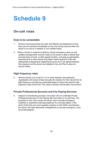### **On-call rotas**

#### **Duty to be contactable**

- 1. Doctors must ensure there are clear and effective arrangements so that they can be contacted immediately at any time during a period when the doctor is on-call on a resident or non-resident basis.
- 2. Where a doctor is required to attend a clinical emergency when on-call, suitable arrangements must be made so the doctor is able to attend their principal place of work, or other agreed location, ensuring an appropriate response time to meet clinical and patient needs specific to their role. Appropriate arrangements regarding this point are to be agreed between the employer and the doctor and detailed in the Job Plan to allow for annual review.

#### **High frequency rotas**

3. Where a doctor is on a rota of 1 in 4 or more frequent, the employing organisation will review at least annually the reasons for this rota and for its high frequency and take any practicable steps to reduce the need for high frequency rotas of this kind. The views of doctors will be taken into account.

#### **Private Professional Services and Fee Paying Services**

4. Subject to the following provision, the doctor will not undertake Private Professional Services or Fee Paying Services when on on-call duty. The exception to this rule is where the doctor has to provide emergency treatment or essential continuing treatment for a private patient. If the doctor finds that such work regularly impacts on their NHS commitments, the doctor will make alternative arrangements to provide emergency cover for private patients.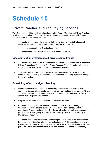### **Private Practice and Fee Paying Services**

This Schedule should be read in conjunction with the 'Code of Conduct for Private Practice', which sets out standards of best practice governing the relationship between NHS work, private practice and fee paying services.

- 1. The doctor is responsible for ensuring that the provision of Private Professional Services or Fee Paying Services for other organisations does not:
	- result in detriment of NHS patients or services;
	- diminish the public resources that are available for the NHS.

#### **Disclosure of information about private commitments**

- 2. The doctor will inform their clinical manager of any regular commitments in respect of Private Professional Services or Fee Paying Services. This information will include the planned location, timing and broad type of work involved.
- 3. The doctor will disclose this information at least annually as part of the Job Plan Review. The doctor will provide information in advance about any significant changes to this information.

#### **Scheduling of work and job planning**

- 4. Where there would otherwise be a conflict or potential conflict of interest, NHS commitments must take precedence over private work. Subject to paragraphs 10 and 11 below, the doctor is responsible for ensuring that private commitments do not conflict with Programmed Activities.
- 5. Regular private commitments must be noted in the Job Plan.
- 6. Circumstances may also arise in which a doctor needs to provide emergency treatment for private patients during time when the doctor is scheduled to be undertaking Programmed Activities. The doctor will make alternative arrangements to provide cover if emergency work of this kind regularly impacts on the delivery of Programmed Activities.
- 7. The doctor should ensure that there are arrangements in place, such that there can be no significant risk of private commitments disrupting NHS commitments, e.g. by causing NHS activities to begin late or to be cancelled. In particular where a doctor is providing private services that are likely to result in the occurrence of emergency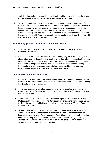work, the doctor should ensure that there is sufficient time before the scheduled start of Programmed Activities for such emergency work to be carried out.

8. Where the employing organisation has proposed a change to the scheduling of a doctor's NHS work, it will allow the doctor a reasonable period in line with Schedule 7, to rearrange any private commitments. The employing organisation will take into account any binding commitments that the doctor may have entered into (for example, leases). Should a doctor wish to reschedule private commitments to a time that would conflict with Programmed Activities, the doctor should raise the matter with the clinical manager at the earliest opportunity.

#### **Scheduling private commitments whilst on-call**

- 9. The doctor will comply with the provisions in Schedule 9 of these Terms and Conditions of Service.
- 10. In addition, where a doctor is asked to provide emergency cover for a colleague at short notice and the doctor has previously arranged private commitments at the same time, the doctor should only agree to do so if those commitments would not prevent the doctor returning to the relevant NHS site at short notice to attend an emergency. If the doctor is unable to provide cover at short notice it will be the employing organisation's responsibility to make alternative arrangements.

#### **Use of NHS facilities and staff**

- 11. Except with the employing organisation's prior agreement, a doctor may not use NHS facilities or NHS staff for the provision of Private Professional Services or Fee Paying Services for other organisations.
- 12. The employing organisation has discretion to allow the use of its facilities and will make it clear which facilities, if any, a doctor is permitted to use for private purposes and to what extent.
- 13. Should a doctor, with the employing organisation's permission, undertake Private Professional Services or Fee Paying Services in any of the employing organisation's facilities, the doctor should observe the relevant provisions in the 'Code of Conduct for Private Practice'.
- 14. Where a patient pays privately for a procedure that takes place in the employing organisation's facilities, that procedure should take place at a time that does not impact on normal services for NHS patients. Except in emergencies, such procedures should occur only where the patient has given a signed undertaking to pay any charges (or an undertaking has been given on the patient's behalf) in accordance with the employing organisation's procedures.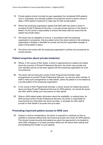- 15. Private patients should normally be seen separately from scheduled NHS patients. Only in unforeseen and clinically justified circumstances should a doctor cancel or delay a NHS patient's treatment to make way for their private patient.
- 16. Where the employing organisation agrees that NHS staff may assist a doctor in providing Private Professional Services, or provide private services on the doctor's behalf, it is the doctor's responsibility to ensure that these staff are aware that the patient has private status.
- 17. The doctor has an obligation to ensure, in accordance with the employing organisation's procedures, that any patient whom the doctor admits to the employing organisation's facilities is identified as private and that the responsible manager is aware of that patient's status.
- 18. The doctor will comply with the employing organisation's policies and procedures for private practice.

#### **Patient enquiries about private treatment**

- 19. Where, in the course of their duties, a doctor is approached by a patient and asked about the provision of Private Professional Services, the doctor may provide only such standard advice as has been agreed with the employing organisation for such circumstances.
- 20. The doctor will not during the course of their Programmed Activities make arrangements to provide Private Professional Services, nor ask any other member of staff to make such arrangements on their behalf, unless the patient is to be treated as a private patient of the employing organisation.
- 21. In the course of their Programmed Activities, a doctor should not initiate discussions about providing Private Professional Services for NHS patients, nor should the doctor ask other staff to initiate such discussions on their behalf.
- 22. Where a NHS patient seeks information about the availability, or waiting times, for NHS services and/or Private Professional Services, the doctor is responsible for ensuring that any information the doctor provides, or arranges for other staff to provide on their behalf is accurate and up-to-date.

#### **Promoting improved patient access to NHS care**

23. Subject to clinical considerations, the doctor is expected to contribute as fully as possible to reducing waiting times and improving access and choice for NHS patients. This should include ensuring that patients are given the opportunity to be treated by other NHS colleagues or by other providers where this will reduce their waiting time and facilitating the transfer of such patients.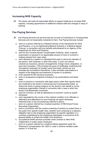#### **Increasing NHS Capacity**

24. The doctor will make all reasonable efforts to support initiatives to increase NHS capacity, including appointment of additional medical staff and changes to ways of working.

#### **Fee Paying Services**

- 25. Fee Paying Services are services that are not part of Contractual or Consequential Services and not reasonably incidental to them. Fee Paying Services include:
	- a. work on a person referred by a Medical Adviser of the Department for Work and Pensions, or by an Adjudicating Medical Authority or a Medical Appeal Tribunal, in connection with any benefits administered by an Agency of the Department for Work and Pensions;
	- b. work for the Criminal Injuries Compensation Authority, when a special examination is required or an appreciable amount of work is involved in making extracts from case notes;
	- c. work required by a patient or interested third party to serve the interests of the person, their employer or other third party, in such non-clinical contexts as insurance, pension arrangements, foreign travel, emigration, or sport and recreation. (This includes the issue of certificates confirming that inoculations necessary for foreign travel have been carried out, but excludes the inoculations themselves. It also excludes examinations in respect of the diagnosis and treatment of injuries or accidents);
	- d. work required for life insurance purposes;
	- e. work on prospective emigrants including X-ray examinations and blood tests;
	- f. work on persons in connection with legal actions other than reports which are incidental to the doctor's Contractual and Consequential Duties, or where the doctor is giving evidence on the doctor's own behalf or on the employing organisation's behalf in connection with a case in which the doctor is professionally concerned;
	- g. work for coroners, as well as attendance at coroners' courts as expert witnesses;
	- h. work requested by the courts on the medical condition of an offender or defendant and attendance at court hearings as expert witnesses, otherwise than in the circumstances referred to above;
	- i. work on a person referred by a medical examiner of HM Armed Forces Recruiting Organisation;
	- j. work in connection with the routine screening of workers to protect them or the public from specific health risks, whether such screening is a statutory obligation laid on the employing organisation by specific regulation or a voluntary undertaking by the employing organisation in pursuance of its general liability to protect the health of its workforce;
	- k. occupational health services provided under contract to other NHS, independent or public sector employers;
	- l. work on a person referred by a medical referee appointed under the Workmen's Compensation Act 1925 or under a scheme certified under section 31 of that Act;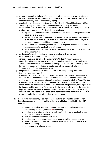- m. work on prospective students of universities or other institutions of further education, provided that they are not covered by Contractual and Consequential Services. Such examinations may include chest radiographs;
- n. examinations and recommendations under Part II of the Mental Health Act 1983 or Mental Capacity Act 2005 (specifically Deprivation of Liberty Safeguards assessments), where it follows examination as an in-patient, at an out-patient clinic or where given as a result of a domiciliary consultation:
	- if given by a doctor who is not on the staff of the relevant employer where the patient is examined; or
	- if given by a doctor on the staff of the relevant employer where the patient is examined but is conducted outside of their standard contracted hours, or is subject to agreed time-shifting arrangements; or
	- if the recommendation is given as a result of a special examination carried out at the request of a local authority officer; or
	- if the patient examined was not under the direct care of the doctor at the time of the examination;
- o. services performed by members of hospital medical staff for government departments as members of medical boards;
- p. work undertaken on behalf of the Employment Medical Advisory Service in connection with research/survey work, i.e. the medical examination of employees intended primarily to increase the understanding of the cause, other than to protect the health of people immediately at risk (except where such work falls within Contractual and Consequential Services);
- q. completion of cremation form 4 and, where it is not completed by a Medical Examiner, cremation form 5;
- r. examinations and reports including visits to prison required by the Prison Service which do not fall within the doctor's Contractual and Consequential Services and which are not covered by separate contractual arrangements with the Prison Service;
- s. examination of blind or partially-sighted persons for the completion of form CVI, except where the information is required for social security purposes, or an Agency of the Department for Work and Pensions, or the Employment Service, or the patient's employer, unless a special examination is required, or the information is not readily available from knowledge of the case, or an appreciable amount of work is required to extract medically correct information from case notes
- 26. Fee Paying Services may also include work undertaken by public health doctors, including services to a local or public authority of a kind not provided by the NHS, such as:
	- a. work as a medical referee (or deputy) to a cremation authority and signing confirmatory medical (cremation) certificates;
	- b. medical examination in relation to staff health schemes of local authorities and fire and police authorities;
	- c. lectures to those other than NHS staff;
	- d. medical advice in a specialised field of communicable disease control;
	- e. work for water authorities, including medical examinations in relation to staff health schemes;
	- f. attendance as a witness in court;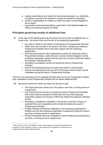- g. medical examinations and reports for commercial purposes, e.g. certificates of hygiene on goods to be exported or reports for insurance companies;
- h. advice to organisations on matters on which the doctor is acknowledged to be an expert;
- i. examinations and recommendations under Part II of the Mental Health Act 1983 [or the Mental Capacity Act 2005].

#### **Principles governing receipt of additional fees**

- 27. In the case of the following services, the doctor will not be paid an additional fee, or if paid a fee - the doctor must remit the fee to the employing organisation:
	- any work in relation to the doctor's Contractual and Consequential Services;
	- duties which are included in the doctor's Job Plan, including any Additional Programmed Activities which have been agreed with the employing organisation;
	- Fee Paying Services for other organisations carried out during the doctor's Programmed Activities, unless the work involves minimal disruption and the employing organisation agrees that the work can be done in NHS time without the employer collecting the fee;
	- domiciliary consultations carried out during the doctor's Programmed Activities;
	- lectures and teaching during the course of the doctor's clinical duties;
	- lectures and teaching that are not part of the doctor's clinical duties, but are undertaken during the doctor's Programmed Activities.

This list is not exhaustive and as a general principle (save as set out in paragraph 2 below), work undertaken during Programmed Activities will not attract additional fees.

- 28. Services for which the doctor can retain any fee that is paid:
	- Fee Paying Services carried out in the doctor's own time, or during annual or unpaid leave;
	- Fee Paying Services carried out during the doctor's Programmed Activities that involve minimal disruption to NHS work and which the employing organisation agrees can be done in NHS time without the employer collecting the fee;
	- domiciliary consultations undertaken in the doctor's own time, though it is expected that such consultations will normally be scheduled as part of Programmed Activities;<sup>[3](#page-29-0)</sup>
	- Private Professional Services undertaken in the employing organisation's facilities and with the employing organisation's agreement during the doctor's own time or during annual or unpaid leave;
	- Private Professional Services undertaken in other facilities during the doctor's own time, or during annual or unpaid leave;

<span id="page-29-0"></span> $3$  And only for a visit to the patient's home at the request of a general practitioner and normally in their company to advise on the diagnosis or treatment of a patient who on medical grounds cannot attend hospital.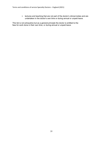• lectures and teaching that are not part of the doctor's clinical duties and are undertaken in the doctor's own time or during annual or unpaid leave.

This list is not exhaustive but as a general principle the doctor is entitled to the fees for work done in their own time, or during annual or unpaid leave.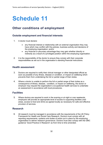### **Other conditions of employment**

#### **Outside employment and financial interests**

- 1. A doctor must declare:
	- any financial interest or relationship with an external organisation they may have which may conflict with the policies, business activity and decisions of the employing organisation; and/or
	- any financial or pecuniary advantage they may gain whether directly or indirectly as a result of a privileged position within the employing organisation.
- 2. It is the responsibility of the doctor to ensure they comply with their corporate responsibilities as set out in the organisation's standing financial instructions.

#### **Health assessment**

- 3. Doctors are required to notify their clinical manager or other designated official as soon as possible of any illness, disease or condition, or impact on wellbeing which prevents them from undertaking the full or partial range of their duties.
- 4. Where a doctor is unable to perform the full or partial range of their duties as a consequence of illness, disease, condition, or impact on wellbeing, the doctor or employer may request the organisation's occupational health services to undertake an assessment in accordance with local procedures.

#### **Facilities**

5. Where doctors are required to work in the evening or at night or over weekends, employers will provide an appropriate level of access to supporting facilities (rest areas, access to food and drink) as agreed locally as necessary for safe and effective provision of services.

#### **Research**

6. All research must be managed in accordance with the requirements of the UK Policy Framework for Health and Social Care Research. Doctors must comply with all reporting requirements, systems and duties of action put in place by the employing organisation to deliver research governance. Doctors must also comply with the GMC guidance 'Good Practice in Research' as from time to time amended.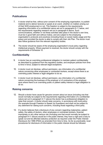#### **Publications**

- 7. A doctor shall be free, without prior consent of the employing organisation, to publish material and to deliver lectures or speak at an event, whether on matters arising out of their NHS employment or not. This freedom is subject to the requirements regarding information of a confidential nature set out in paragraphs 9-11 below, and the requirements regarding research set out in paragraph 6 above. Such communications, whether or not these activities take place in the doctor's own time, must be in good faith and without malice, and are subject to the employing organisation's protocols and practices (including those on social media usage and the press) and provided the doctor is able to comply with their Job Plan. The doctor must also follow guidance from the relevant regulatory bodies.
- 8. The doctor should be aware of the employing organisation's local policy regarding intellectual property. Where payment is received, the doctor should comply with the requirements of Schedule 10.

#### **Confidentiality**

- 9. A doctor has an overriding professional obligation to maintain patient confidentiality as described by guidance from the regulatory bodies, and employer policies from time to time in force, subject to relevant legal exceptions.
- 10. A doctor must not disclose, without permission, any information of a confidential nature concerning other employees or contracted workers, except where there is an overriding public interest or legal obligation to do so.
- 11. A doctor must not disclose, without permission, any information of a confidential nature concerning the business of the employer or of contractors of the employer, save where there is an overriding public or patient safety interest or legal obligation to do so.

#### **Raising concerns**

- 12. Should a doctor have cause for genuine concern about an issue (including one that would normally be subject to the requirements regarding information of a confidential nature set out in paragraph 9-11 above) the doctor has a professional obligation to raise that concern. A doctor should raise concerns, in accordance with local policy (for example through Freedom to Speak Up Guardians) and shall not be subject to any detriment for raising such concerns, including those regarding a third party.
- 13. If a doctor believes that a disclosure of any concern regarding malpractice, patient safety, the safety of doctors, other employees or contracted workers, financial impropriety or any other serious risk (including one that would normally be subject to paragraph 9-11 above) would be in the public interest, they have a right and a duty to speak out and be afforded statutory protection as required under the Public Interest Disclosure Act 1998 (PIDA) as amended from time to time. As far as practicable, local procedures for disclosure of information in the public interest should be followed.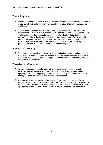#### **Travelling time**

- 14. Where doctors are expected to spend time on more than one site during the course of a day, travelling time to and from their main base to other sites will be included as working time.
- 15. Travel to and from work for NHS emergencies, and 'excess travel' will count as working time. 'Excess travel' is defined as time spent travelling between home and a working site other than the doctor's main place of work, after deducting the time normally spent travelling between home and main place of work. Employers and doctors may need to agree arrangements for dealing with more complex working days. Travelling time between a doctor's main place of work and home or private practice premises will not be regarded as part of working time.

#### **Intellectual property**

16. The doctor must comply with the employing organisation's policies and procedures for intellectual property. These will reflect the NHS as an innovative organisation: a framework and guidance on the management of intellectual property in the NHS, as amended from time to time.

#### **Transfer of information**

- 17. On commencement of employment with an employing organisation, a doctor's personal data will be uploaded to the Electronic Staff Record (or other agreed systems) to allow the employing organisation to effectively manage the workforce leading to improved efficiency and improved patient safety.
- 18. Personal data will be transferred from one NHS organisation to another if your employment transfers. The employing organisations shall comply with the provisions of the Data Protection Act 2018 at all times and shall ensure that they have in place appropriate systems to protect the security of any information being transferred.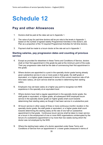### **Pay and other Allowances**

- 1. Doctors shall be paid at the rates set out in Appendix 1.
- 2. The value of pay for part-time doctors will be pro rata to the levels in Appendix 1, based on the number of agreed weekly Programmed Activities in the doctor's Job Plan as a proportion of the 10 required Programmed Activities for full-time doctors.
- 3. Payment shall be made to a locum doctor at the rate set out in Appendix 1.

#### **Starting salaries, pay progression dates and counting of previous service**

- 4. Except as provided for elsewhere in these Terms and Conditions of Service, doctors shall on their first appointment in this grade be paid at the minimum point of the scale. Their pay progression date shall be the date of commencing their first appointment in this grade.
- 5. Where doctors are appointed to a post in the specialty doctor grade having already given substantive service in one or more posts in that grade, the staff grade or equivalent, or a higher grade (measured in terms of the current maximum rate of fulltime basic salary), all such service shall be counted in determining their starting salary.
- 6. Employers may set basic salary at a higher pay point to recognise non-NHS experience in the specialty at an equivalent level.
- 7. Where doctors have held a regular appointment in the specialty doctor grade, the staff grade or equivalent, or higher grade, all subsequent NHS employed locum service in the specialty doctor grade (or higher grade) shall count towards determining their starting salary as though it had been service in a substantive post.
- 8. All locum service in other cases of three or more continuous months' duration in the specialty doctor grade, the staff grade or equivalent, or a higher grade shall count towards determining the starting salary at the rate of one half on substantive appointment to that grade. Continuous locum service shall be taken to mean service as a locum in the employment of one or more NHS organisations uninterrupted by the tenure of a substantive appointment or by more than two weeks during which the doctor was not employed by the NHS.
- 9. Where the starting basic salary of a doctor appointed under these Terms and Conditions of Service from an appointment in a lower grade (measured in terms of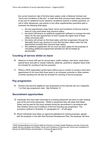the current maximum rate of full-time basic salary) under a National Contract and Terms and Conditions of Service $^{\#}$  $^{\#}$  $^{\#}$  is lower than their previous basic salary (exclusive of any pay for additional hours/ sessions, excellence awards or similar payments, oncall or other allowances, pay premia or any other supplementary payments paid or received) the following shall apply:

- the new appointment under these Terms and Conditions of Service shall be fixed at a pay point below their previous salary;
- the doctor will receive an additional supplement sufficient to increase the total salary for the new appointment so that it equals the higher level of basic salary previously paid;
- the doctor will remain on this fixed salary until their progression through the Speciality Doctor pay structure is such that the basic salary under the new appointment exceeds their previous basic salary;
- this additional supplement will not count as basic salary for the purposes of calculating additional programmed activities but will be treated as pensionable.

#### **Counting of service whilst on leave**

- 10. Absence on leave with pay for annual leave, public holidays, sick leave, study leave, special leave and paid or unpaid maternity, paternity, parental or adoption leave shall be included for counting of service purposes.
- 11. Where a NHS organisation grants leave without pay to a doctor to accept a short term appointment of not more than three years in an overseas university or other position of similar standing this will also be included for counting of service purposes.

#### **Pay progression**

12. Doctors may become eligible for pay progression at the intervals set out in Appendix 1 on their pay progression date. See Schedule 13.

#### **Secondment opportunities**

- 13. Individuals who have been seconded to a training placement will return to their existing post at the end of the placement. Whilst on placement they will retain their Basic Salary and be paid for the hours worked during the secondment in accordance with their existing Terms and Conditions of Service including pay progression. The provisions outlined in Schedule 13, paragraphs 23 – 24 will apply.
- 14. Where individuals have taken an approved sabbatical for training purposes, agreed with the employer in line with their Personal Development Plan, the employer will have

<span id="page-35-0"></span><sup>#</sup> NHS Hospital Medical and Dental Staff and Doctors in Public Health Medicine and the Community Health Service (England and Wales) Terms and Conditions of Service and Terms and Conditions of Service for NHS Doctors and Dentists in Training (England 2016)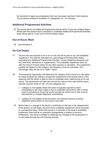the discretion to apply pay progression that may have been reached in their absence. The provisions outlined in Schedule 13, paragraphs 23 – 24 will apply.

#### **Additional Programmed Activities**

15. The annual rate for an Additional Programmed Activity will be 10 per cent of Basic Salary. Where part-time doctors have contracted to undertake Additional Programmed Activities these will be paid at 10 per cent of full-time Basic Salary.

#### **Out of Hours Work**

16. See Schedule 8.

#### **On-Call Duties**

- 17. Doctors who are required to be on an on-call rota will be paid an on–call availability supplement. This shall be calculated as a percentage of full-time Basic Salary (excluding any Additional Programmed Activities, London Weighting allowance and any other fees, allowances or supplements). The availability supplement does not alter the amount of basic salary for any other purpose or calculation. The supplement payable will depend on the category and frequency of the on-call duties. The percentage rates are set out in Table 1 below.
- 18. The employing organisation will determine the category of the doctor's on-call duties for these purposes by making a prospective assessment of the typical nature of the response that the doctor is likely to have to undertake when called during an on-call period. This assessment will take into account the nature of the calls that the doctor typically receives whilst on-call. The two categories are:
	- Category A: this applies where the doctor is typically required to return immediately to site when called or has to undertake interventions with a similar level of complexity to those that would normally be carried out on site, such as telemedicine or complex telephone consultations;
	- Category B: this applies where the doctor can typically respond by giving telephone advice and/or by returning to work later.
	- 19. Where there is a change to the doctor's contribution to the rota or the categorisation of the doctors on-call duties, the level of the availability supplement will be amended on a prospective basis. Where this results in a reduction in the level of availability supplement, there will be no protection arrangements in relation to previous entitlements. The doctor is entitled to challenge any changes to the assessment of on-call duties through the Job Planning process.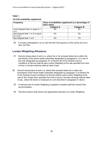#### **Table 1**

#### **On-Call availability supplement**

| <b>Frequency</b>                                    | Value of availability supplement as a percentage of<br>basic salary |                   |
|-----------------------------------------------------|---------------------------------------------------------------------|-------------------|
|                                                     | <b>Category A</b>                                                   | <b>Category B</b> |
| more frequent than or equal to 1<br>in 4            | 8%                                                                  | 3%                |
| less frequent than 1 in 4 or equal<br>to $1$ in $8$ | 5%                                                                  | 2%                |
| less frequent than 1 in 8                           | 3%                                                                  | 1%                |

20. If a doctor participates in an on-call rota then the frequency of this will be set out in their Job Plan.

#### **London Weighting Allowance**

- 21. Doctors whose place of work (i.e. where his or her principal duties lie) is within the boundaries of the former health authorities designated by paragraph 5, or in one of the units designated by paragraph 10, of Section 56 of the General Council Conditions of Service shall be paid London Weighting at the rate specified from time to time in circulars advising national rates of pay.
- 22. Doctors whose place of work (i.e. where their principal duties lie) is within the boundaries of the former health authorities designated by paragraph 12 of Section 56 of the General Council Conditions of Service shall be paid London Weighting at the rate for the 'Fringe Zone' specified from time to time in circulars advising national rates of pay, unless the doctor is employed at a unit described in paragraph 21 above.
	- 23. A reduced rate of London Weighting is payable to resident staff who receive free accommodation.
	- 24. Part-time doctors shall receive the appropriate proportion of London Weighting.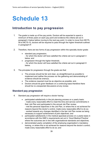# **Schedule 13**

### **Introduction to pay progression**

- 1. The grade is made up of five pay points. Doctors will be expected to spend a minimum of three years on each pay point and evidence the criteria set out in paragraph 4 below before moving to the next pay point. In order to move from MC75- 09 to MC75-10, doctors will be required to pass through the higher threshold outlined in paragraph 8 $^2$ .
- 2. Therefore, there are two forms of pay progression within the specialty doctor grade:
	- standard pay progression, - for which the doctor will have satisfied the criteria set out in paragraph 4 below; and
	- progression through the higher threshold, - for which the doctor will have satisfied the criteria set out in paragraph 8 below.
- 3. The principles for progression through the grade are that:
	- The process should be fair and clear, as straightforward as possible to implement and neither the process nor the gathering and demonstrating of evidence should be onerous;
	- The evidence required must be as objective as possible; and,
	- Doctors should be given feedback on a continuing basis therefore there should be no unexpected discussions at any review.

#### **Standard pay progression**

- 4. Standard pay progression will require a doctor having:
	- participated satisfactorily in the job planning process on a yearly basis: - made every reasonable effort to meet the time and service commitments in their Job Plan and participated in the annual Job Plan review; - met the personal objectives in the Job Plan, or where this is not achieved for
		- reasons beyond the doctor's control, made every reasonable effort to do so; - worked towards any changes identified in the last Job Plan review as being necessary to support achievement of joint objectives; and
	- participated satisfactorily in the medical appraisal process on a yearly basis in accordance with the GMC's requirements set out in 'Good Medical Practice' where the outcomes are in line with organisational standards and objectives;
	- demonstrated yearly completion of the employing organisation's mandatory training, or where this is not achieved for reasons beyond the doctor's control, made every reasonable effort to do so; and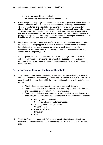- No formal capability process in place; and
- No disciplinary sanction live on the doctor's record.
- 5. Capability process in paragraph 4 will be defined in the organisation's local policy and covers processes for dealing with lack of competence, including professional and clinical competence, and clear failure by an employee to achieve a satisfactory standard of work through lack of knowledge, ability or consistently poor performance. 'Process' means that there has been an outcome following an investigation which places the employee in a formal capability process (or as otherwise defined in local policy). Investigations, informal stages and processes for dealing with absence due to ill health are all excluded from this pay progression standard.
- 6. Disciplinary sanction' in paragraph 4 refers to sanctions in relation to conduct only, and excludes warnings applied in relation to absence due to ill health. It refers to formal disciplinary sanctions such as formal warnings. It does not include investigations, informal warnings, counselling or other informal activities that may come within a disciplinary policy.
- 7. If a disciplinary sanction in place at the time of the pay progression date and is subsequently repealed, for example as a result of a successful appeal, the pay progression will be backdated to the pay progression date if all other requirements have been met.

#### **Pay progression through the higher threshold**

- 8. The criteria for passing through the higher threshold recognises the higher level of skills, experience and responsibility of those doctors working at that level. Doctors will pass through the higher threshold if they have met the criteria at a), b) and c) as set out below:
	- a) Standard pay progression criteria set out in paragraph 4 above;
	- b) Doctors should be able to demonstrate an increasing ability to take decisions and carry responsibility without direct supervision; and
	- c) Doctors should also provide evidence to demonstrate their contributions to a wider role, for example, meaningful participation in or contribution to relevant:
		- Management or leadership
		- Service development and modernisation
		- Teaching and training (of others)
		- Committee work
		- Representative work
		- Innovation
		- Audit
- 9. This list referred to in paragraph 8 c) is not exhaustive but is intended to give an indication of the types of evidence of contributing to a wider role that a doctor could provide.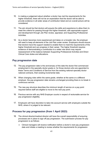- 10. In making a judgement about whether a doctor has met the requirements for the higher threshold, there will not be an expectation that the doctor will be able to provide evidence in all wider areas of contribution listed and an overall picture will be considered.
- 11. The aim should be that doctors will acquire the skills and experience to allow them to meet the criteria for passing through the higher threshold, with appropriate support and development through Job Plan review, appraisal, and Supporting Professional **Activities**
- 12. As a doctor becomes more experienced and takes on a broader role, the employer will need to keep all elements of the Job Plan under review. Employers should ensure that doctors have the support needed to enable them to meet the requirements of the higher threshold and can progress in their career. The higher threshold requires evidence of demonstrating a contribution to a wider role which may require reassessment of the balance between Supporting Professional Activities and Direct Clinical Care duties and allocations.

#### **Pay progression date**

- 13. The pay progression date is the anniversary of the date the doctor first commenced employment in the specialty doctor grade or, for those doctors who are appointed to these Terms and Conditions of Service from the existing national specialty doctor national contracts, their existing incremental date.
- 14. When changing roles within the same grade, whether at the same or a different employer, the pay progression date remains unchanged providing there is no break in continuous service.
- 15. The new pay structure describes the minimum length of service on a pay point required before staff are eligible to move to the next pay point.
- 16. Previous service with any NHS Employer counts in respect of reckonable service for pay progression eligibility.
- 17. Employers will have discretion to take into account service with employers outside the NHS, where it is judged to be relevant.

#### **Process for pay progression (from 1 April 2023)**

- 18. The clinical director/medical director will have the overall responsibility of ensuring processes are in place to sign off pay progression. The submission process for pay progression is as follows:
	- Clinical managers will receive notification before a doctor's next pay progression date and initiate a meeting to review whether the requirements for progression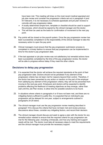have been met. This meeting will draw on the most recent medical appraisal and job plan review and consider the progression criteria set out in paragraph 4 (and 8 if relevant). It is not necessary to schedule appraisals and job plan reviews to coincide with pay progression dates.

- A locally determined simple form, template or checklist should be used to support this process, which should be signed by the clinical manager and the doctor.
- This will then be used as the basis for confirmation of movement to the next pay point.
- 19. Pay points will be closed on the payroll system. Once the pay progression review has been successfully completed it is the responsibility of the clinical manager to take the necessary action to open the pay point.
- 20. Clinical managers must ensure that the pay progression submission process is completed in a timely fashion to ensure that pay progression can be implemented in time for the doctor's pay progression date.
- 21. If the last appraisal or job plan review was not satisfactory but remedial actions have been successfully completed by the time of the pay progression review, the doctor will be able to progress without delay if they meet the other criteria.

#### **Decisions to delay pay progression**

- 22. It is expected that the doctor will achieve the required standards at the point of their pay progression date. Doctors should not be penalised if any element of the progression criteria has not been met for reasons beyond their control. Therefore, if the doctor has been prevented by any action or inaction on the part of the employer from satisfying any element of the progression criteria, they will not be prevented from moving to the next pay point. Employers and doctors will be expected to identify problems affecting the likelihood of meeting objectives as they emerge, rather than wait until the Job Plan review, to allow time for possible solutions to be found.
- 23. In situations where criteria in paragraphs 4 or 8 have not been met, and there are no mitigating factors sufficient to justify this, it is expected that an individual's pay progression will be delayed for one year, subject to arrangements outlined in paragraphs 24-25 below.
- 24. The clinical manager must use the pay progression review meeting described in paragraph 18 to discuss the criteria that have not been met and review previous discussions about these, consider any mitigating factors, and record their decision.
- 25. The clinical manager should discuss and seek to agree a plan with the doctor for any remedial action needed to ensure that the required criteria for pay progression are met for the following year, including a timescale, and how any training and support needs will be met. The doctor must take all necessary steps to meet the requirements and the clinical manager must provide the necessary support.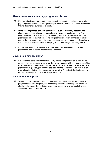#### **Absent from work when pay progression is due**

- 26. If a doctor is absent from work for reasons such as parental or sickness leave when pay progression is due, the principle of equal and fair treatment should be followed so that no detriment is suffered as a result.
- 27. In the case of planned long-term paid absence such as maternity, adoption and shared parental leave the pay progression review can be conducted early if this is reasonable and practical, allowing the pay progression to be applied on their pay progression date in their absence. If a pay progression review cannot be conducted prior to the pay progression date, pay progression should be automatically applied in the individual's absence from the pay progression date, subject to paragraph 26.
- 28. If there was a disciplinary sanction in place when pay progression is due pay progression should not be applied in their absence.

#### **Moving to a new employer**

29. If a doctor moves to a new employer shortly before pay progression is due, the new employer will be expected to carry out the review required, within three months of the date that the doctor begins work for the new employer ("the date of employment"). If progression is granted, pay shall be backdated to the pay progression date. If such a review is not undertaken by the new employer within 3 months following the date of employment the provisions of paragraph 22 shall apply.

#### **Mediation and appeals**

30. Where a doctor disputes a decision that they have not met the required criteria to progress to the next pay point, the mediation procedure and the appeal procedure should be followed. The mediation and appeal procedure is at Schedule 5 of the Terms and Conditions of Service.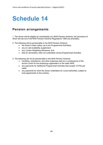# **Schedule 14**

## **Pension arrangements**

1. The doctor will be eligible for membership of a NHS Pension Scheme, the provisions of which are set out in the NHS Pension Scheme Regulations 1995 (as amended).

2. The following will be pensionable in the NHS Pension Scheme:

- the doctor's basic salary (up to ten Programmed Activities);
- any on-call availability supplement;
- any London Weighting Allowance; and
- fees for domiciliary visits not undertaken during Programmed Activities

3. The following will not be pensionable in the NHS Pension Scheme:

- travelling, subsistence, and other expenses paid as a consequence of the doctor's work for the employing organisation or the wider NHS;
- any payments for Additional Programmed Activities that exceed 10 PAs per week;
- any payments for work the doctor undertakes for Local Authorities, subject to local agreements to the contrary.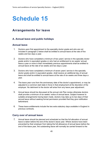# **Schedule 15**

### **Arrangements for leave**

#### **A. Annual leave and public holidays**

#### **Annual leave**

- 1. Doctors upon first appointment to the speciality doctor grade and who are not included in paragraph 2 below shall be entitled to annual leave at the rate of five weeks and two days a year.
- 2. Doctors who have completed a minimum of two years' service in the specialty doctor grade and/or in equivalent grades or who had an entitlement to six weeks' annual leave a year or more in their immediately previous appointments shall be entitled to annual leave at the rate of six weeks and two days a year.
- 3. Doctors who have completed a minimum of seven years' service in the specialty doctor grade and/or in equivalent grades shall receive an additional day of annual leave and shall be entitled to annual leave at the rate of six weeks and three days a year.
- 4. The leave year runs from the anniversary date of the doctor's appointment, or may be adjusted to a common start date in force in that employment at the discretion of the employer. No detriment to the doctor will arise from any leave year adjustment.
- 5. Annual leave should be discussed at the annual Job Plan review otherwise doctors shall provide a minimum of six weeks' notice of annual leave. Subject however to suitable arrangements having been made, doctors may take up to two days of their annual leave without seeking formal permission provided that they give notification beforehand.
- 6. These leave entitlements include the two extra statutory days available in England in previous contracts.

#### **Carry over of annual leave**

7. Annual leave should be planned and scheduled so that the full allocation of annual leave is taken before the end of the doctor's leave year. Where doctors have been prevented by their employer from taking the full allowance of annual leave before the end of the leave year, the outstanding leave will normally be carried forward to the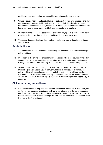next leave year upon mutual agreement between the doctor and employer.

- 8. Where a doctor has been allocated leave on dates not of their own choosing and they are subsequently prevented by sickness from taking their full allocation of leave before the end of the leave year, the leave will normally be carried forward to the next leave year upon mutual agreement between the doctor and employer.
- 9. In other circumstances, subject to needs of the service, up to five days' annual leave may be carried forward on application and taken in the next leave year.
- 10. The employing organisation will not ordinarily make payment in lieu of any untaken annual leave.

#### **Public holidays**

- 11. The annual leave entitlement of doctors in regular appointment is additional to eight public holidays.
- 12. In addition to the provisions of paragraph 11, a doctor who in the course of their duty was required to be present in hospital or other place of work between the hours of midnight and 9.00am on a statutory or public holiday should receive a day off in lieu.
- 13. Where a public holiday, including Christmas Day (25 December), Boxing Day (26 December) or New Year's Day (1 January), falls on a Saturday or a Sunday, the public holiday will be designated instead as falling on the first working weekday thereafter. In such circumstances, no day in lieu then arises for the work undertaken on Christmas Day (25 December), Boxing Day (26 December) or New Year's Day (1 January).

#### **Sickness during annual leave**

14. If a doctor falls sick during annual leave and produces a statement to that effect, the doctor will be regarded as being on sick leave from the date of the statement. A self certificate may cover days 1 to 7 of the period of sickness. The doctor must obtain a medical certificate for subsequent days. Further annual leave will be suspended from the date of the first statement.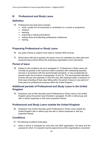#### **B. Professional and Study Leave**

#### **Definition**

- 15. Professional and study leave includes:
	- study, usually but not exclusively or necessarily on a course or programme
	- research
	- teaching
	- examining or taking examinations
	- visiting clinics and attending professional conferences
	- training.

#### **Proposing Professional or Study Leave**

- 16. Any grant of leave is subject to the need to maintain NHS services.
- 17. Where leave with pay is granted, the doctor must not undertake any other paid work during the leave period without the employing organisation's prior permission.

#### **Period of leave**

18. Subject to the conditions set out in paragraph 21, Professional or Study Leave will normally be granted to the maximum extent consistent with maintaining essential services in accordance with the recommended standards, or may exceptionally be granted under the provisions of paragraphs 19 and 20. The recommended standard is leave with pay and expenses or time off in lieu with expenses within a maximum of thirty days (including off-duty days falling within the period of leave) in any period of three years for professional purposes within the United Kingdom.

#### **Additional periods of Professional and Study Leave in the United Kingdom**

19. Employers may at their discretion grant Professional or Study Leave in the United Kingdom above the period recommended in paragraph 18 with or without pay and with or without expenses or with some proportion thereof.

#### **Professional and Study Leave outside the United Kingdom**

20. Employers may at their discretion grant Professional or Study Leave outside the United Kingdom with or without pay and with or without expenses or with any proportion thereof.

#### **Conditions**

- 21. The following conditions shall apply:
- (i) where a doctor is employed by more than one NHS organisation, the leave and the purpose for which it is required must be approved by all the organisations concerned;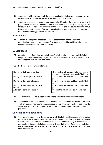- (ii) where leave with pay is granted, the doctor must not undertake any remunerative work without the special permission of the leave-granting organisation;
- (iii) where an application is made under paragraphs 19 and 20 for a period of leave with pay, and this exceeds three weeks, it shall be open to the leave granting organisation to require that one half of the excess over three weeks shall be counted against annual leave entitlement, the carry forward or anticipation of annual leave within a maximum of three weeks being permitted for this purpose.

#### **Sabbaticals**

22. A doctor may apply for sabbatical leave in accordance with the employing organisation's current arrangements. Any proposal for sabbatical leave should be considered in the annual Job Plan review.

#### **C. Sick leave**

23. A doctor absent from duty owing to illness (including injury or other disability) shall, subject to the provisions of paragraphs 24 to 38, be entitled to receive an allowance in accordance with the following table:

| During the first year of service                | One month's full pay and (after completing<br>four months' service) two months' half pay. |
|-------------------------------------------------|-------------------------------------------------------------------------------------------|
| During the second year of service               | Two months' full pay and two months' half<br>pay.                                         |
| During the third year of service                | Four months' full pay and four months' half<br>pay.                                       |
| During the fourth and fifth years of<br>service | Five months' full pay and five months' half<br>pay.                                       |

#### **Table 1 – Doctor sick leave entitlement**

24. The employer shall have discretion to extend a doctor's sick leave entitlement.

After completing five years of service  $\vert$  Six months' full pay and six months' half

pay.

25. To enable rehabilitation, the employer has the discretion to allow a doctor to return to work on reduced hours or to be encouraged to work from home without loss of pay to aid rehabilitation. Any such arrangements need to be consistent with statutory sick pay rules.

#### **Calculation of allowances**

26. The rate of allowance and the period for which it is to be paid in respect of any period of absence due to illness, shall be ascertained by deducting from the period of benefit (under Table 1) appropriate to the doctor's service, on the first day of absence the aggregate for the period of absence due to illness during the 12 months immediately preceding the first day of absence. In aggregating the periods of absence, no account shall be taken of: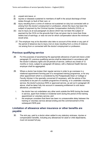- (i) unpaid sick leave; or
- (ii) injuries or diseases sustained to members of staff in the actual discharge of their duties through no fault of their own; or
- (iii) injury resulting from a crime of violence not sustained on duty but connected with or arising from the doctor's employment or profession, where the injury has been the subject of payment by the Criminal Injuries Compensation Authority (CICA); or
- (iv) due to injury as at sub-paragraph (ii) above which has not been the subject of payment by the CICA on the grounds that it has not given rise to more than three weeks loss of earnings, or was not one for which compensation above the minimum would arise.
	- 27. The employer may at its discretion also take no account of the whole or any part of the period of absence due to injury (not on duty) resulting from a crime of violence not arising from or connected with the doctor's employment or profession.

#### **Previous qualifying service**

- 28. For the purposes of ascertaining the appropriate allowance of paid sick leave under paragraph 23, previous qualifying service shall be determined in accordance with the doctor's statutory rights and all periods of service, (without any break of 12 months or more, subject to paragraph 29 below), with a National Health Service employer shall be aggregated.
- 29. Where a doctor has broken their regular service in order to go overseas in a rotational appointment forming part of a recognised training programme, or for any other appointment which is considered by the Postgraduate Dean or College or Faculty Adviser in the specialty concerned (if necessary, with the advice of the consultant) to be part of a suitable programme of training, or to undertake voluntary service, the doctor's previous NHS or approved service, as set out in paragraph 28 above, shall be taken fully into account in assessing entitlement to sick leave allowance, provided that:
	- i. the doctor has not undertaken any other work outside the NHS during the break in service, apart from limited or incidental work during the period of the training appointment or voluntary service; and
	- ii. the employer considers that there has been no unreasonable delay between the training or voluntary service abroad ending and the commencement of the subsequent NHS post.

#### **Limitation of allowance when insurance or other benefits are payable**

30. The sick pay, paid to a doctor when added to any statutory sickness, injuries or compensation benefits, including any allowances for adult or child dependants, must not exceed full pay.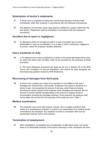#### **Submission of doctor's statements**

- 31. A doctor who is incapable of doing their normal work because of illness shall immediately notify their employer in accordance with the employer's procedures.
- 32. Any absence of more than seven days shall be certified by a doctor (other than the sick doctor). Statements shall be submitted in accordance with the employer's procedures.

#### **Accident due to sport or negligence**

33. An allowance shall not normally be paid in a case of accident due to active participation in sport as a profession, or in a case in which contributory negligence is proved, unless the employer decides otherwise.

#### **Injury sustained on duty**

34. a. An absence due to injury sustained by a doctor in the actual discharge of their duty, for which the doctor was not liable, shall not be recorded for the purposes of these provisions.

b. The Injury Allowance provisions will apply as set out in Section 22 of the NHS Terms and Conditions of Service Handbook, and should be read alongside the accompanying guidance issued by NHS Employers.

#### **Recovering of damages from third party**

35. A doctor who is absent as a result of an accident is not entitled to sick pay if damages are received from a third party. Employers may agree to advance to a doctor a loan, not exceeding the amount of sick pay under these provisions, providing the doctor repays to the employer when damages are received, the full amount or portion thereof corresponding to the amount in respect of loss of remuneration including the damages received. Once received, the absence shall not be taken into account for the purposes of the scale set out in Table 1.

#### **Medical examination**

36. The employer may at any time require a doctor, who is unable to perform their duties as a consequence of illness, to submit to an examination by a medical doctor nominated by the employer. Any expense incurred in connection with such an examination shall be met by the employer.

#### **Termination of employment**

37. After investigation, consultation and consideration of alternative posts, and where there is no reasonable prospect of the doctor returning to work, employers will have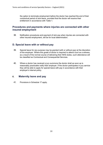the option to terminate employment before the doctor has reached the end of their contractual period of sick leave, provided that the doctor will receive their entitlement in accordance with Table 1.

#### **Procedures and payments where injuries are connected with other insured employment**

38. Notification procedures and payment of sick pay when injuries are connected with other insured employment, will be for local determination.

#### **D. Special leave with or without pay**

- 39. Special leave for any purpose may be granted (with or without pay) at the discretion of the employer. Where this grade of doctor is required to attend court as a witness, as a result of the normal course of delivering their NHS duties, such attendance will be classified as Contractual and Consequential Services.
- 40. Where a doctor has received a jury summons the doctor shall as soon as is reasonably practicable notify their employer. If the doctor participates in jury service they will be able to apply for special leave with pay in accordance with their employer's internal policy.

#### **E. Maternity leave and pay**

41. Provisions in Schedule 17 apply.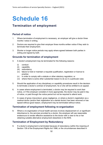# **Schedule 16**

## **Termination of employment**

#### **Period of notice**

- 1. Where termination of employment is necessary, an employer will give a doctor three months' notice in writing.
- 2. Doctors are required to give their employer three months written notice if they wish to terminate their employment.
- 3. Shorter or longer notice periods may apply where agreed between both parties in writing and signed by both.

#### **Grounds for termination of employment**

- 4. A doctor's employment may be terminated for the following reasons:
	- (i) conduct
	- (ii) capability
	- (iii) redundancy
	- (iv) failure to hold or maintain a requisite qualification, registration or licence to practice
	- (v) in order to comply with a statute or other statutory regulation; or
	- (vi) where there is some other substantial reason to do so in a particular case.
- 5. Should the application of any disciplinary or capability procedures result in the decision to terminate a doctor's contract of employment, he or she will be entitled to an appeal.
- 6. In cases where employment is terminated, a doctor may be required to work their notice, or if the employer considers it more appropriate, the doctor may be paid in lieu of notice, or paid through the notice period but not be required to attend work.
- 7. In cases of gross misconduct, gross negligence, or where a doctor's registration as a medical doctor (and/or their registration as a dental doctor) has been removed or has lapsed without good reason, employment may be terminated without notice.

#### **Termination of employment following re-organisation**

8. Where a re-organisation of local health services involves displacement of, or significant disturbance to, the services provided by a doctor, the employer will use reasonable endeavours to render effective assistance to the doctor with a view to his or her obtaining suitable alternative employment elsewhere in the NHS.

#### **Termination of Employment by Redundancy**

9. If a doctor's employment is terminated because of redundancy (within the meaning of Section 139 of the Employment Rights Act 1996, or the circumstances described in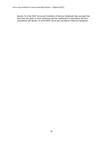Section 16 of the NHS Terms and Conditions of Service Handbook) then provided that they have two years or more continuous service, entitlement to redundancy will be in accordance with Section 16 of the NHS Terms and Conditions of Service Handbook $3$ .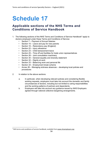# **Schedule 17**

### **Applicable sections of the NHS Terms and Conditions of Service Handbook**

- 1. The following sections of the NHS Terms and Conditions of Service Handbook<sup>[4](#page-53-0)</sup> apply to doctors employed under these Terms and Conditions of Service:
	- Section 7 Payment of Annual Salaries
	- Section 15 Leave and pay for new parents
	- Section 16 Redundancy pay (England)
	- Section 22 Injury allowance
	- Section 23 Child bereavement leave
	- Section 25 Time off and facilities for trade union representatives
	- Section 26 Joint consultation machinery
	- Section 30 General equality and diversity statement
	- Section 32 Dignity at work
	- Section 33 Balancing work and personal life
	- Section 34 Employment break scheme
	- Annex 26 Managing sickness absences developing local policies and procedures
- 2. In relation to the above sections:
	- a. In particular, when developing relevant policies and considering flexible working requests, employers must take into account the domestic and family circumstances of doctors, including but not limited to caring responsibilities and the working patterns of partners and dependents.
	- b. Employers will take into account any guidance issued by NHS Employers agreed through national collective bargaining arrangements.

<span id="page-53-0"></span><sup>4</sup> NHS terms and conditions of service handbook, available fro[m www.nhsemployers.org](http://www.nhsemployers.org/)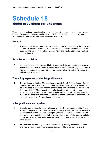# **Schedule 18 Model provisions for expenses**

These model provisions are designed to serve as the basis for agreements about the payment of doctors' expenses for doctors employed by the NHS or contracted on an honorary basis. NHS employers and doctors may agree alternative provisions.

#### **General**

1. Travelling, subsistence, and other expenses incurred in the service of the employer shall be reimbursed to meet costs at the rates set out in this schedule or up to the limits set and agreed locally. Expenses do not form part of a doctor's pay and are not pensionable.

#### **Submission of claims**

2. In preparing claims, doctors shall indicate adequately the nature of the expenses involved and submit valid receipts; claims shall be submitted normally at intervals of not more than one month, and as soon as possible after the end of the period to which the claim relates.

#### **Travelling expenses and mileage allowance**

3. The provisions of Section 23 (except paragraphs 2.4 and 4) of the General Council Conditions of Service shall apply. In these provisions "principal place of work" shall be understood to mean "the hospital or other base from which the doctor conducts their main duties". Where a doctor has a joint contract with more than one employing organisation, the term "principal place of work" shall be interpreted as meaning the base from which the doctor conducts their main duties within that joint contract, irrespective of employing organisation.

#### **Mileage allowances payable**

- 4. Except where a doctor has been allocated a Lease Car (paragraphs 25 to 47 and subject to paragraph 28 of these provisions) mileage allowances shall be payable in accordance with the rates specified at paragraphs 9 to 19 of these provisions, as appropriate, where doctors use their private vehicle for any official journey on behalf of their employing organisation, including travel in connection with domiciliary consultations.
- 5. No allowance shall be payable for their normal daily journey between their home and their principal place of work, except as provided for in paragraphs 6 to 8.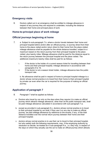#### **Emergency visits**

6. Doctors called out in an emergency shall be entitled to mileage allowance in respect of any journey they are required to undertake, including the distance between their home and principal place of work.

#### **Home-to-principal place of work mileage**

#### **Official journeys beginning at home**

- 7. a. Subject to sub-paragraph 7.b. where a doctor travels between their home and principal hospital before and/or after an official journey, or journey direct from their home to the place visited and/or return direct to their home from the place visited, mileage allowance shall be payable for the whole distance travelled, subject to a maximum based on the return journey from their principal hospital to the place visited, plus twenty miles. Mileage allowance shall be paid for the distance equal to the return journey between the principal hospital and the place visited. The additional (maximum) twenty miles shall be paid for as follows:
	- i. If the doctor is the holder of a current season ticket for travelling between their home and their principal hospital, mileage allowance in accordance with paragraphs 9 to 16.
	- ii. If the doctor is not a season ticket holder, mileage allowance less the public transport rate.

b. No allowance shall be paid in respect of home to principal hospital mileage to a doctor whose normal practice is to travel from their home to their principal hospital by private car even when the car is required for the purpose of making an official journey.

#### **Application of paragraph 7**

- 8. Paragraph 7 shall be applied as follows:
	- a. Doctors who travel by car only on the days when they require it to make an official journey which attracts mileage allowance, other than at the public transport rate, shall be paid mileage allowance calculated in accordance with sub-paragraph 7.a;
	- b. except as provided in sub-paragraph 8.c, doctors whose normal practice is to travel to their principal hospital by car shall, if they use it on any day to make an official journey, be paid mileage allowance by reference to the excess, if any, of the total distance travelled over the normal return journey between their home and their principal hospital;
	- c. doctors whose normal practice is to use their car to travel to their principal hospital, but who satisfy both the following requirements, may, if the employing authority by resolution so decide, be treated as in sub-paragraph 8.a., i.e. they may, in respect of the days on which they actually use the car to make an official journey which attracts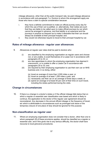mileage allowance, other than at the public transport rate, be paid mileage allowance in accordance with sub-paragraph 7.a. Doctors to whom this arrangement apply are those who have a claim to special consideration because:

- i. they have a definite commitment to make an official journey every day for which the use of their car is justified, or, alternatively, their duties are such that they are liable to be called upon to make official journeys by car which cannot be arranged in advance, and that liability is so extensive and the journeys in practice so frequent as to make it desirable that their car should always be available at their principal hospital; and
- ii. they would not otherwise require to travel to their principal hospital by car.

#### **Rates of mileage allowance - regular user allowances**

- 9. Allowances at regular user rates shall be paid to doctors who:
	- (i) are classified by the employing organisation as regular users and choose not, or are unable, to avail themselves of a Lease Car in accordance with paragraphs 25 to 33; or
	- (ii) are new appointees to whom the employing organisation has deemed it uneconomic, or is unable to offer a Lease Car in accordance with paragraphs 25 to 33; and
	- (iii) are required by their employing organisation to use their own car on NHS business and, in so doing, either:
		- (a) travel an average of more than 3,500 miles a year; or
		- (b) travel an average of at least 1,250 miles a year; and
		- (c) necessarily use their car on an average of three days a week; or
		- (d) spend an average of at least 50 per cent of their time on such travel, including the duties performed during the visits.

#### **Change in circumstances**

10. If there is a change in a doctor's duties or if the official mileage falls below that on which a regular or essential user classification was based and which is likely to continue, the application to the doctor of the regular user agreement should be reconsidered. Any decrease in the annual official mileage or the frequency of travel, etc which is attributable to circumstances such as prolonged sick leave or the temporary closure of one place of duty should be ignored for this purpose.

#### **Non-classification as regular user**

11. Where an employing organisation does not consider that a doctor, other than one to whom paragraph 28 of these provisions applies, should be classified as a regular or essential user, and if this gives rise to any serious difficulty, the doctor shall have recourse to local grievance procedures.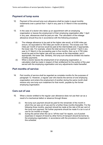#### **Payment of lump sums**

- 12. Payment of the annual lump sum allowance shall be made in equal monthly instalments over a period from 1 April in any year to 31 March in the succeeding year.
- 13. In the case of a doctor who takes up an appointment with an employing organisation or leaves the employment of their employing organisation after 1 April in any year, allowances shall be paid pro rata. The calculation of the mileage allowance should thus be in accordance with the following procedure:
	- (i) The mileage allowance to be paid at the higher rate would, at 9,000 miles per annum, be equivalent to 750 miles per month of service. The excess over 750 miles per month of service would be paid at the intermediate and, if appropriate, the lower rate. For example, where the total service in the period 1 April in any year to 31 March in the succeeding year is five months, then up to 3,750 miles would be paid at the higher rate and any excess at the intermediate, and if appropriate, the lower rate. Similarly, the lump sum should be divided into twelve monthly payments.
	- (ii) When a doctor leaves the employment of an employing organisation, a calculation shall be made in respect of their entitlement for the portion of the year served with the employing organisation and any adjustments made thereafter.

#### **Part months of service**

14. Part months of service shall be regarded as complete months for the purposes of paragraph 12. However, a regular user who leaves the service of one employing organisation and enters the employment of another during the same month shall receive only one lump sum instalment for that month, payable by the former employing organisation.

#### **Cars out of use**

- 15. When a doctor entitled to the regular user allowance does not use their car as a result of a mechanical defect or absence through illness:
	- (i) the lump sum payment should be paid for the remainder of the month in which the car was out of use and for a further three months thereafter. For the following three months, payment should be made at the rate of 50 per cent of the lump sum payment. No further payments should be made if a car is out of use for six months or longer;
	- (ii) during the period when the car is "off the road" for repairs, out of pocket expenses in respect of travel by other forms of transport should be borne by the employing organisation, in accordance with the provisions of expenses in this schedule.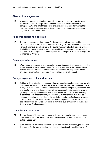#### **Standard mileage rates**

16. Mileage allowances at standard rates will be paid to doctors who use their own vehicles for official journeys, other than in the circumstances described in paragraph 9, 17 and 28 of these provisions, provided that a doctor may opt to be paid mileage allowances at standard rates, notwithstanding their entitlement to payment at regular user rates.

#### **Public transport mileage rate**

17. The foregoing rates shall not apply if a doctor uses a private motor vehicle in circumstances where travel by a public service (e.g. rail, bus) would be appropriate. For such journeys, an allowance at the public transport rate shall be paid, unless this is higher than the rate that would be payable at the standard, regular user or special rate. Further guidance on the application of the public transport mileage rate is attached at Annex B.

#### **Passenger allowances**

18. Where other employees or members of an employing organisation are conveyed in the same vehicle, other than a Lease Car, on the business of the National Health Service and their fares by a public service would otherwise be payable by the employing organisation, passenger mileage allowance shall be paid.

#### **Garage expenses, tolls and ferries**

19. Subject to the production of vouchers wherever possible, doctors using their private motor vehicles on an official journey at the standard, regular user or special rate of mileage allowance shall be refunded reasonable garage and parking expenses and charges for tolls and ferries necessarily incurred, except that charges for overnight garaging or parking shall not be reimbursed, unless the doctor is entitled to night subsistence allowance for overnight absence. Similar expenses may also be refunded to doctors only entitled to the public transport rate of mileage allowance, provided that the total reimbursement for an official journey does not exceed the cost which would otherwise have been incurred on public transport, including the fares of any official passengers.

#### **Loans for car purchase**

- 20. The provisions of this paragraph apply to doctors who qualify for the first time as regular car users in the NHS, other than those who are offered, or provided with, a suitable Lease Car.
- 21. Such doctors are entitled to a loan at 2½ per cent flat rate of interest, provided that the request for the loan is made within three months of such classification, or of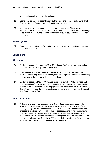taking up the post (whichever is the later).

- 22. Loans shall be made in accordance with the provisions of paragraphs 22 to 27 of Section 24 of the General Council Conditions of Service.
- 23. In determining whether a car is "suitable" for the purposes of these provisions, various factors may need to be taken into account, such as the total official mileage to be driven, reliability, the need to carry heavy or bulky equipment and local road conditions, etc.

#### **Pedal cycles**

24. Doctors using pedal cycles for official journeys may be reimbursed at the rate set out in Annex A, Table 1.

#### **Lease cars**

#### **Allocation**

- 25. For the purposes of paragraphs 26 to 47, a "Lease Car" is any vehicle owned or contract- hired by an employing organisation.
- 26. Employing organisations may offer Lease Cars for individual use on official business where they deem it economic (see also paragraph 44 of these provisions) or otherwise in the interest of the service to do so.
- 27. Doctors in post on 9 May 1990 who are required to travel on NHS business and have been classified by the employing organisation as regular users may continue to receive the regular user lump sum payments and allowances set out in Annex A, Table 1 for so long as they remain in the same post or until they voluntarily accept the offer of a Lease Car.

#### **New appointees**

28. A doctor who was a new appointee after 9 May 1990 (including a doctor who voluntarily moves post within the same employing organisation, or to a different employing organisation) and who is required to travel on NHS business and who chooses to use their own car, rather than to accept the employing organisation's offer of a Lease Car, shall not receive the allowances specified in paragraph 27 of these provisions, but shall be reimbursed at the special rate. The special rate will be equivalent to the current 9,001 to 15,000 miles rate for over 2000cc for regular and standard users, regardless of the vehicle's engine size.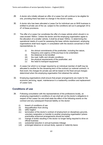- 29. A doctor who initially refused an offer of a Lease Car will continue to be eligible for one, providing there has been no change in the doctor's duties.
- 30. A doctor who has been allocated a Lease Car for individual use on NHS business is entitled to private use of the car, subject to the conditions set out in paragraph 34 to 47 of these provisions.
- 31. The offer of a Lease Car constitutes the offer of a base vehicle which should in no case exceed 1800cc. Unless the doctor and the employing organisation agree to the allocation of a smaller vehicle, it shall be at least 1500cc. In determining the operational needs of a post for assessing the base vehicle requirement, employing organisations shall have regard, in consultation with the doctors concerned or their representatives, to:
	- (i) the clinical commitments of the postholder, including the nature, frequency and urgency of the journeys to be undertaken
	- (ii) the distances to be travelled
	- (iii) the road, traffic and climatic conditions
	- (iv) the physical requirements of the postholder; and
	- (v) the need to transport equipment.
- 32. A Lease Car which is no longer required by an individual member of staff may be allocated to another for the remaining term of the contract (or notional contract). In that event, the charges for private use will be based on the fixed annual charges determined when the employing organisation first obtained the vehicle.
- 33. Employing organisations shall ensure that proper arrangements are made for the economic servicing, repair, maintenance in a roadworthy condition and replacement of Lease Cars.

#### **Conditions of use**

- 34. Following consultation with the representatives of the professions locally, an employing organisation's conditions of use shall set out the doctor's obligations in respect of the Lease Car and shall state the effect of the following events on the contract and any subsequent financial liability on the doctor:
	- (i) breach of conditions of use
	- (ii) disqualification from driving
	- (iii) wilful neglect
	- (iv) termination of the doctor's contract of employment on disciplinary grounds, voluntary resignation or transfer to another employing organisation (where practicable reciprocal arrangements should be made)
	- (v) change of duties resulting in the doctor no longer being required to drive on official business
	- (vi) substantial reduction in annual business mileage
	- (vii) prolonged absence on annual study, special or maternity leave.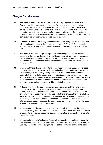#### **Charges for private use**

- 35. The basis of charges for private use set out in this paragraph assumes that Lease Cars are provided on a contract hire basis. Where this is not the case, charges for private use are to be based on the notional cost to the employing organisation of providing Lease Cars on a contract hire basis. Notional contract hire charges at current rates are to be used, and the fixed charge to the doctor for agreed private mileage determined on this basis is to remain unaltered for the period for which the contract would have remained in force (e.g. three years).
- 36. A doctor will be required to pay one composite annual charge for private use. This will comprise of the sum of the items listed in Annex A, Table 2. The composite annual charge will be paid by monthly deduction from salary of one twelfth of the total.
- 37. The basis of the fixed charge for agreed private mileage shall be the doctor's estimate to the nearest thousand miles of their annual private mileage, as agreed by the employing organisation and multiplied by the rate per thousand miles, determined in accordance with the formula set out in the latest NHS Pay Circular (see Annex A).
- 38. In the event that a doctor underestimates their annual private mileage, an excess charge will be levied by the employing organisation, based on the contract hirer's excess charge to the employing organisation for the particular car hired to the doctor. In the event that a doctor overestimates their annual private mileage, any sum recoverable by the employing organisation from the contract hirer in respect of the overestimate will be refunded to the doctor. If no recovery is available to the employing organisation, no refund will be made to the doctor.
- 39. A doctor shall meet the cost to the employing organisation of the fitting of any optional extras the doctor requires, and the contract between the employing organisation and the doctor should specify whether such extras will become the property of the contract hirer or of the doctor. In the latter case, the doctor shall be liable for the cost of making good any damage caused to the car by the removal of such fittings at the end or on early termination of the contract. However, if such alterations are required because the doctor has a certified disability, then the costs shall be met by the employing organisation.
- 40. In the event of the doctor's death in service or an early termination of the doctor's contract on the grounds of ill health, there shall be no financial penalty to the doctor or the doctor's estate on account of the early termination of the contract for private use of the Lease Car.
- 41. In the event of a doctor's absence from work for an extended period on maternity, sick, study or special leave, a doctor who has contracted for private use of a Lease Car may choose to continue the private use at the contracted charge or to return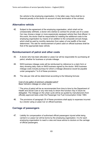the vehicle to the employing organisation. In the latter case, there shall be no financial penalty to the doctor on account of early termination of the contract.

#### **Alternative vehicle**

42. Subject to the agreement of the employing organisation, which shall not be unreasonably withheld, a doctor who wishes to contract for private use of a Lease Car may choose a larger or more expensively equipped vehicle than that offered. In this event, the doctor shall be responsible for meeting the additional costs to the employing organisation by means of an addition to the composite annual charge, which shall be paid by monthly deduction from salary of one twelfth of the total determined. The rate for reimbursement of petrol used on official business shall be that of the appropriate base vehicle.

#### **Reimbursement of petrol and other costs**

- 43. A doctor who has been allocated a Lease Car will be responsible for purchasing all petrol, whether for business or private mileage.
- 44. NHS business mileage costs will be reimbursed by reference to a claim form or diary showing daily visits on NHS business signed by the doctor. NHS business mileage costs include journeys for which a mileage allowance would be payable under paragraphs 7 to 8 of these provisions.
- 45. The rate per mile will be determined according to the following formula:

Cost of one gallon of premium unleaded petrol\* Base Vehicle's mileage on urban cycle

\* The price of petrol will be as recommended from time to time by the Department of Health and Social Care or any new body to whom this function may in future be delegated. The mileage on the urban cycle will be as quoted by manufacturers from officially approved tests under the Passenger Car Fuel Consumption Order 1983.

46. The provisions of paragraph 25 of these provisions shall apply to expenses incurred by a doctor using a Lease Car on official business.

#### **Carriage of passengers**

47. Liability for compensation of authorised official passengers injured while being carried in a Lease Car will be borne by the employing organisation. It is for each employing organisation to reach a view and issue advice to doctors on the carriage of official passengers.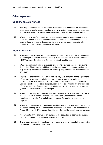#### **Other expenses**

#### **Subsistence allowances**

- 48. The purpose of travel and subsistence allowances is to reimburse the necessary extra costs of meals, accommodation and travel and any other business expenses that arise as a result of official duties away from home (or principal place of work).
- 49. Where, locally, staff and employer representatives agree arrangements that are more appropriate to local operational circumstances which provide benefits to staff beyond those provided by these provisions, and are agreed as operationally preferable, those local arrangements will apply.

#### **Night subsistence**

- 50. When doctors stay overnight in commercial accommodation with the agreement of the employer, the actual receipted cost up to the level set out in Annex 14 of the NHS Terms and Conditions of Service Handbook shall be paid.
- 51. Where the maximum limit is exceeded for genuine business reasons (for example, the choice of hotel was not within the employee's control or cheaper hotels were fully booked), additional assistance will normally be granted at the discretion of the employer.
- 52. Regardless of accommodation type, doctors staying overnight with the agreement of their employer shall be reimbursed for the cost of meals, excluding alcoholic drinks, up to the level set out in Annex 14 of the NHS Terms and Conditions of Service Handbook, subject to the production of receipts. If meals are provided free of charge, the cost of meals cannot be reimbursed. Additional assistance may be granted at the discretion of the employer.
- 53. Where doctors stay for short overnight periods with friends or relatives a flat rate at the level set out in Annex 14 of the NHS Terms and Conditions of Service Handbook is payable. This includes an allowance for meals. No receipts are required.
- 54. Where accommodation and meals are provided without charge to doctors e.g. on a residential training course, an incidental expenses allowance at the level set out in Annex 14 of the NHS Terms and Conditions of Service Handbook shall be payable.
- 55. All payments of this allowance are subject to the deduction of appropriate tax and national insurance contributions via the payroll system.
- 56. Travel costs between the hotel and any temporary place of work shall be separately reimbursed on an actual costs basis.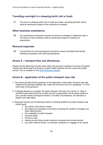#### **Travelling overnight in a sleeping berth (rail or boat)**

57. The cost of a sleeping berth (rail or boat) and meals, excluding alcoholic drinks, shall be reimbursed subject to the production of receipts.

#### **Other business subsistence**

58. Any expenditure necessarily incurred by doctors on postage or telephone calls in the service of their employer shall be reimbursed subject to evidence of expenditure.

#### **Removal expenses**

59. A local policy for removal expenses should be in place and determined locally following consultation with staff representatives.

#### **Annex A – transport fees and allowances**

Please see the latest Pay Circular which deals with pay and conditions of service of hospital medical and dental staff and doctors in public health medicine and the community health service. This is available on the [NHS Employers website.](http://www.nhsemployers.org/)

#### **Annex B – application of the public transport user rate**

- 1. This annex provides further guidance on the application of the public transport user rate instead of the standard mileage rate, under the provisions set out in paragraph 17 of the main body of this guidance.
- 2. If mileage allowance is payable, the public transport rate (set out in Annex A, Table 1) should be paid where travel by a public service is appropriate, but the doctor prefers to use a private means of transport instead. In all other circumstances, the standard or regular user rates apply.
- 3. Employers should use the following criteria in deciding whether the public transport rate should apply:
	- the nature of the doctor's duties
	- the length and complexity of journeys (including the number of changes and likely waiting times)
	- the availability of public transport
	- personal safety
	- the time of day
	- relative journey times (public transport compared with private vehicle)
	- any other relevant factors, for example, equipment or luggage to be carried.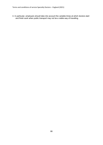4. In particular, employers should take into account the variable times at which doctors start and finish work when public transport may not be a viable way of travelling.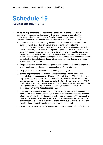# **Schedule 19 Acting up payments**

- 1. An acting-up payment shall be payable to a doctor who, with the approval of their employer, takes over clinical, and where appropriate, managerial duties and responsibilities of a consultant or Specialist grade doctor as detailed in a temporary job plan to be mutually agreed, subject to the following provisions:
	- a. when a consultant or Specialist grade doctor is expected to be absent for more than one month other than on annual or professional leave within the recommended standard for the senior grade, and arrangements cannot be made either for cover by other consultants/Specialist grade doctors or for a locum to be engaged, a doctor under these Terms and Conditions shall be paid for acting-up if the employing organisation consider it is practicable for the doctor to take over clinical, and where appropriate, managerial duties and responsibilities of the absent consultant or Specialist grade doctor without supervision as detailed in a mutually agreed temporary job plan;
	- b. the payment shall be such as to bring the doctor's rate of pay to the rate of pay they would receive on appointment to the consultant or Specialist grade;
	- c. the payment shall have effect from the first day of acting up;
	- d. the rate of payment shall be determined in accordance with the appropriate schedule in the 2003 Consultant TCS or the Specialist grade TCS. It shall include any payment for fees for lectures to non-medical or non-dental staff and doctors and dentists as set out in the 2003 Consultant TCS or the Specialist grade TCS. A doctor while acting up in the consultant or Specialist grade will also be entitled to the arrangements on travelling allowance and mileage as set out in the 2003 Consultant TCS or the Specialist grade TCS:
	- e. continuity of a period of acting-up will not be broken by days on which the doctor is not required to be on duty; continuity will normally be broken by absence on leave of any kind of more than 14 days and a further qualifying period of 14 consecutive days will be required after such absence. A doctor shall not normally act up under the arrangements set out in this schedule for a continuous period shorter than one month or longer than six months [unless mutually agreed]; and
	- f. the doctor shall retain their substantive contract for the agreed period of acting up.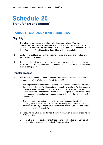# **Schedule 20 Transfer arrangements**<sup>4</sup>

## **Section 1 - applicable from 9 June 2022**

#### **Eligibility**

- 1. The following arrangements shall apply to doctors on National Terms and Conditions of Service in the 2008 Specialty Doctor grades, staff grades, CMOs, SCMOs, HPs and CAs who may transfer to the 2021 Specialty Doctor contract and these Terms and Conditions of Service subject to the process below.
- 2. Doctors may opt to remain on their existing contract and terms and conditions of service without detriment.
- 3. This schedule shall not apply to doctors who are employed on local contracts and terms and conditions as opposed to the national contracts and terms and conditions listed in paragraph 1.

#### **Transfer process**

- 4. The process to transfer to these Terms and Conditions of Service as set out in paragraphs 4 (a) to (e) shall apply from 9 June 2022:
	- a. The eligible doctor may confirm their interest in transferring to these Terms and Conditions of Service ("an Expression of Interest") at any time. An Expression of Interest shall not be legally binding nor shall it oblige the doctor to transfer to these Terms and Conditions of Service, but it shall signify that the doctor wishes to commence the job planning process in good faith and in the expectation of transferring;
	- b. The employing organisation and the doctor shall then undertake the job planning process as set out in Schedule 4. Following the completion of this process, the employing organisation will offer the doctor a Job Plan and salary package in writing ("the Offer");
	- c. Following the Offer, the doctor has 21 days within which to accept or decline the Offer in writing;
	- d. If the Offer is accepted, transfer to these Terms and Conditions of Service will be from when the mutually agreed Job Plan comes into effect;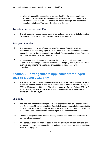e. Where it has not been possible to agree a Job Plan the doctor shall have access to the provisions for mediation and appeal as set out in Schedule 5 which will finalise the Job Plan prior to the doctor making a final decision on transferring to these Terms and Conditions of Service.

#### **Agreeing the revised Job Plan**

5. The job planning process should commence no later than one month following the Expression of Interest and be completed within three months.

#### **Salary on transfer**

- 6. The salary of a doctor transferring to these Terms and Conditions will be determined subject to paragraphs  $4 - 8$  in Schedule 12. The date of effect for the salary shall be the date the mutually agreed Job Plan comes into effect. The doctor will not be eligible for any backdating of salary.
- 7. In the event of any disagreement between the doctor and their employing organisation regarding the doctor's entitlement to pay progression, the doctor may submit a grievance to the employing organisation in accordance with local procedures. 5

### **Section 2 – arrangements applicable from 1 April 2021 to 8 June 2022 only**

8. The previous transitional arrangements which are now set out at paragraphs 8 - 20 of section 2 of this schedule applied to Expressions of Interest raised from 1 April 2021 to 30 September 2021 only (the "choice window"). From 1 October 2021 to 8 June 2022 any transfer to these Terms and Conditions of Service was at the discretion of the employer.<sup>6</sup>

#### **Eligibility**

- 9. The following transitional arrangements shall apply to doctors on National Terms and Conditions of Service in the 2008 Specialty Doctor grades, staff grades, CMOs, SCMOs, HPs and CAs who may transfer to the 2021 Specialty Doctor contract and these Terms and Conditions of Service subject to the process below.
- 10. Doctors may opt to remain on their existing contract and terms and conditions of service without detriment.
- 11. This schedule shall not apply to doctors who are employed on local contracts and terms and conditions as opposed to the national contracts and terms and conditions listed in paragraph 9. $^{\rm 8}$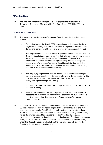#### **Effective Date**

12. The following transitional arrangements shall apply to the introduction of these Terms and Conditions of Service with effect from [1 April 2021] (the "Effective Date").

#### **Transitional process**

- 13. The process to transfer to these Terms and Conditions of Service shall be as follows:
	- a. On or shortly after the 1 April 2021, employing organisations will write to eligible doctors to a) confirm that the doctor is eligible to transfer to these Terms and Conditions of Service and b) invite an expression of interest;
	- b. The eligible doctor shall have until 30 September 2021 (six months from the 1 April) – the choice window) to confirm their interest in transferring to these Terms and Conditions of Service ("an Expression of Interest"). An Expression of Interest shall not be legally binding nor shall it oblige the doctor to transfer to these Terms and Conditions of Service, but it shall signify that the doctor wishes to commence the job planning process in good faith and in the expectation of transferring;
	- c. The employing organisation and the doctor shall then undertake the job planning process as set out in Schedule 4. Following the completion of this process, the employing organisation will offer the doctor a Job Plan and salary package in writing ("the Offer"):
	- d. Following the Offer, the doctor has 21 days within which to accept or decline the Offer in writing;
	- e. Where it has not been possible to agree a job plan the doctor shall have access to the provisions for mediation and appeal as set out in Schedule 5 prior to making a final decision on transferring to these Terms and Conditions of Service.
- 14. If a doctor expresses an interest in appointment to the Terms and Conditions after 30 September 2021, they will not be eligible to transfer via the provisions in this schedule and paragraphs 8 and 9 will not apply. Instead, any transfer to these Terms and Conditions of Service will be at the discretion of employers and salary will be determined subject to paragraphs  $4 - 8$  in Schedule 12. In these circumstances, the doctor will not be eligible for backdating of contractual terms and salary to 1 April 2021. The date of effect for these contractual terms and salary under the Specialty Doctor grade shall be the date an agreed job plan for the Speciality Doctor grade comes into effect.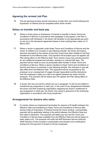#### **Agreeing the revised Job Plan**

15. The job planning process should commence no later than one month following the Expression of Interest and be completed within three months.

#### **Salary on transfer and back pay**

- 16. Where a doctor gives an Expression of Interest to transfer to these Terms and Conditions of Service in accordance with paragraph 5 and agrees a Job Plan in accordance with Schedule 4, the doctor will transition to the appropriate pay point as set out in the framework agreement based on their existing basic salary on 31 March 2021.
- 17. Where a doctor is appointed under these Terms and Conditions of Service and the doctor is entitled to an increase in pay following transfer, the doctor will receive payment equivalent to the arrears of pay they would have been entitled to had they transferred on the Effective Date. This payment will be based upon the agreed Job Plan taking effect on the Effective Date. Such arrears of pay may include payment for any additional programmed activities, sessions or notional half days. The payment will be made as soon as practicable after transfer to these Terms and Conditions of Service. Where a doctor transfers to these Terms and Conditions of Service and there is a reduction in pay following transfer, this reduction in pay will take effect from the Effective Date. The repayment will be recuperated by the employer as an overpayment of wages through reasonable monthly deductions from the employee's salary at a rate to be agreed between the doctor and the employer. This payment will be based upon the agreed Job Plan taking effect on the Effective Date.
- 18. A doctor who has not met the criteria set out in paragraph 13 will not be entitled to transitional pay progression or back pay. In the event of any disagreement between the doctor and their employing organisation regarding the doctor's entitlement to pay progression or back pay, the doctor may submit a grievance to the employing organisation in accordance with local procedures.<sup>9</sup>

#### **Arrangements for doctors who retire**

19. If a doctor retires (or employment terminates for reasons of ill-health) between the Effective Date and transferring to these Terms and Conditions of Service after having made an Expression of Interest during the choice window, a pensionable payment will be applicable relating to the period between the Effective Date and their date of retirement. This payment will reflect pay due had the Terms and Conditions of Service been available from the Effective Date and will be based on basic salary only. The employer will notify the NHS Business Service Authority (NHS Pension) of this increase in pensionable remuneration and contributions arising from the payment of arrears to former employees.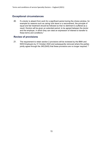#### **Exceptional circumstances**

20. If a doctor is absent from work for a significant period during the choice window, for example for reasons such as caring/ sick leave or a secondment, the principle of equal and fair treatment should be followed so that no detriment is suffered as a result. Doctors will be given an extended period, to be agreed between the doctor and the employer, in which they can raise an expression of interest to transfer to these terms and conditions.<sup>7</sup>

#### **Review of provisions**

21. The requirement to retain section 2 provisions will be reviewed by the BMA and NHS Employers by 31 October 2022 and subsequently removed where the parties jointly agree through the JNC(SAS) that these provisions are no longer required.<sup>10</sup>